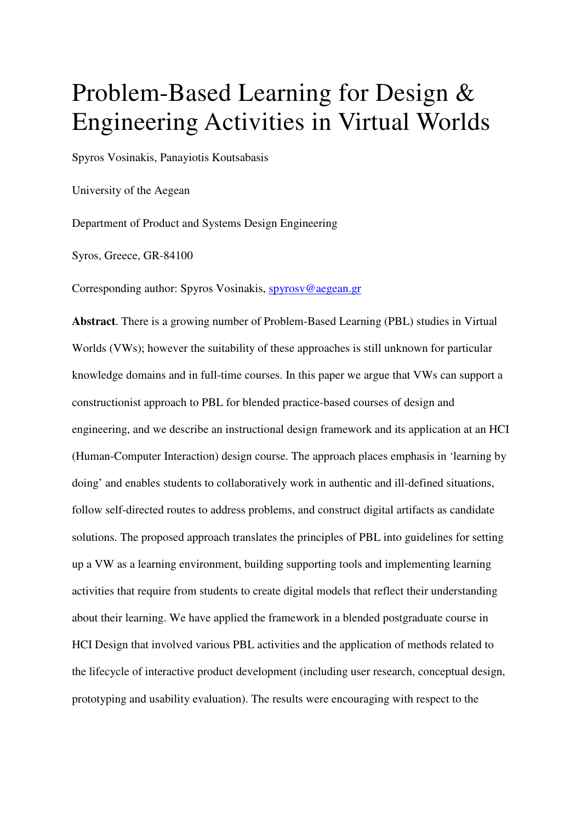# Problem-Based Learning for Design & Engineering Activities in Virtual Worlds

Spyros Vosinakis, Panayiotis Koutsabasis

University of the Aegean

Department of Product and Systems Design Engineering

Syros, Greece, GR-84100

Corresponding author: Spyros Vosinakis, spyrosv@aegean.gr

**Abstract**. There is a growing number of Problem-Based Learning (PBL) studies in Virtual Worlds (VWs); however the suitability of these approaches is still unknown for particular knowledge domains and in full-time courses. In this paper we argue that VWs can support a constructionist approach to PBL for blended practice-based courses of design and engineering, and we describe an instructional design framework and its application at an HCI (Human-Computer Interaction) design course. The approach places emphasis in 'learning by doing' and enables students to collaboratively work in authentic and ill-defined situations, follow self-directed routes to address problems, and construct digital artifacts as candidate solutions. The proposed approach translates the principles of PBL into guidelines for setting up a VW as a learning environment, building supporting tools and implementing learning activities that require from students to create digital models that reflect their understanding about their learning. We have applied the framework in a blended postgraduate course in HCI Design that involved various PBL activities and the application of methods related to the lifecycle of interactive product development (including user research, conceptual design, prototyping and usability evaluation). The results were encouraging with respect to the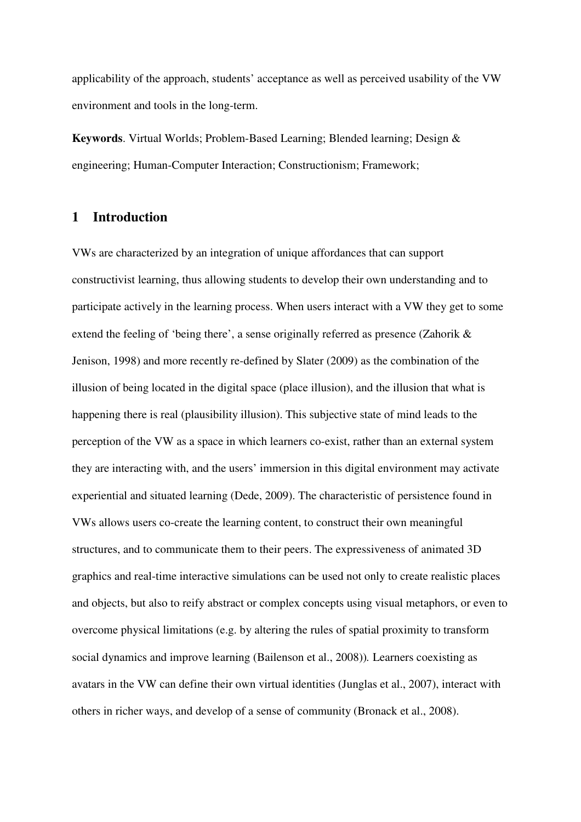applicability of the approach, students' acceptance as well as perceived usability of the VW environment and tools in the long-term.

**Keywords**. Virtual Worlds; Problem-Based Learning; Blended learning; Design & engineering; Human-Computer Interaction; Constructionism; Framework;

## **1 Introduction**

VWs are characterized by an integration of unique affordances that can support constructivist learning, thus allowing students to develop their own understanding and to participate actively in the learning process. When users interact with a VW they get to some extend the feeling of 'being there', a sense originally referred as presence (Zahorik & Jenison, 1998) and more recently re-defined by Slater (2009) as the combination of the illusion of being located in the digital space (place illusion), and the illusion that what is happening there is real (plausibility illusion). This subjective state of mind leads to the perception of the VW as a space in which learners co-exist, rather than an external system they are interacting with, and the users' immersion in this digital environment may activate experiential and situated learning (Dede, 2009). The characteristic of persistence found in VWs allows users co-create the learning content, to construct their own meaningful structures, and to communicate them to their peers. The expressiveness of animated 3D graphics and real-time interactive simulations can be used not only to create realistic places and objects, but also to reify abstract or complex concepts using visual metaphors, or even to overcome physical limitations (e.g. by altering the rules of spatial proximity to transform social dynamics and improve learning (Bailenson et al., 2008))*.* Learners coexisting as avatars in the VW can define their own virtual identities (Junglas et al., 2007), interact with others in richer ways, and develop of a sense of community (Bronack et al., 2008).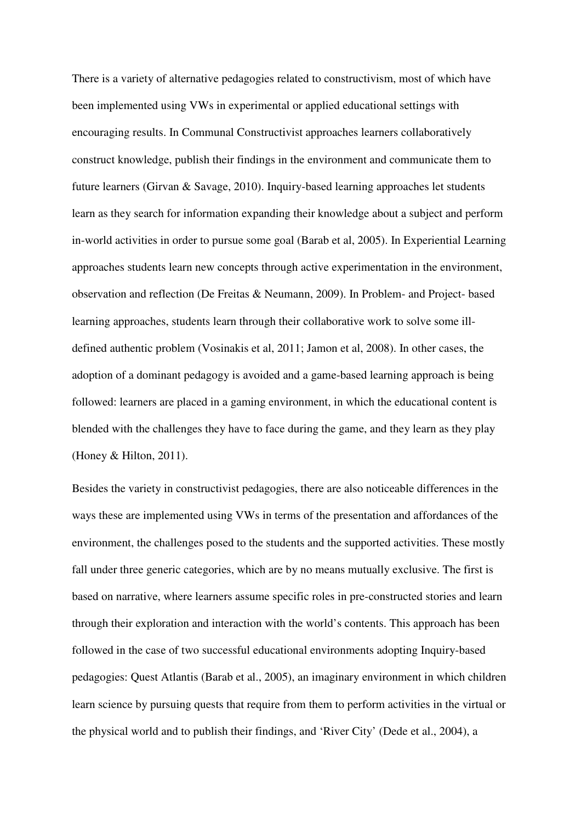There is a variety of alternative pedagogies related to constructivism, most of which have been implemented using VWs in experimental or applied educational settings with encouraging results. In Communal Constructivist approaches learners collaboratively construct knowledge, publish their findings in the environment and communicate them to future learners (Girvan & Savage, 2010). Inquiry-based learning approaches let students learn as they search for information expanding their knowledge about a subject and perform in-world activities in order to pursue some goal (Barab et al, 2005). In Experiential Learning approaches students learn new concepts through active experimentation in the environment, observation and reflection (De Freitas & Neumann, 2009). In Problem- and Project- based learning approaches, students learn through their collaborative work to solve some illdefined authentic problem (Vosinakis et al, 2011; Jamon et al, 2008). In other cases, the adoption of a dominant pedagogy is avoided and a game-based learning approach is being followed: learners are placed in a gaming environment, in which the educational content is blended with the challenges they have to face during the game, and they learn as they play (Honey & Hilton, 2011).

Besides the variety in constructivist pedagogies, there are also noticeable differences in the ways these are implemented using VWs in terms of the presentation and affordances of the environment, the challenges posed to the students and the supported activities. These mostly fall under three generic categories, which are by no means mutually exclusive. The first is based on narrative, where learners assume specific roles in pre-constructed stories and learn through their exploration and interaction with the world's contents. This approach has been followed in the case of two successful educational environments adopting Inquiry-based pedagogies: Quest Atlantis (Barab et al., 2005), an imaginary environment in which children learn science by pursuing quests that require from them to perform activities in the virtual or the physical world and to publish their findings, and 'River City' (Dede et al., 2004), a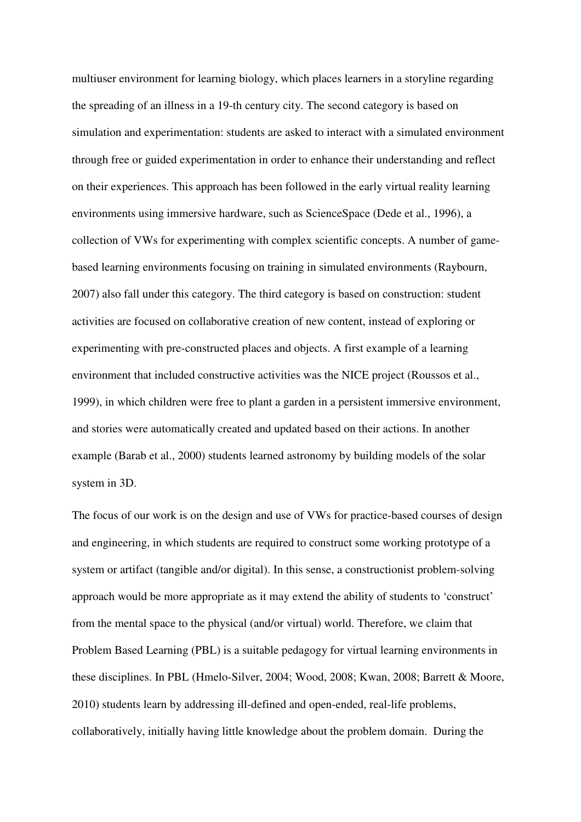multiuser environment for learning biology, which places learners in a storyline regarding the spreading of an illness in a 19-th century city. The second category is based on simulation and experimentation: students are asked to interact with a simulated environment through free or guided experimentation in order to enhance their understanding and reflect on their experiences. This approach has been followed in the early virtual reality learning environments using immersive hardware, such as ScienceSpace (Dede et al., 1996), a collection of VWs for experimenting with complex scientific concepts. A number of gamebased learning environments focusing on training in simulated environments (Raybourn, 2007) also fall under this category. The third category is based on construction: student activities are focused on collaborative creation of new content, instead of exploring or experimenting with pre-constructed places and objects. A first example of a learning environment that included constructive activities was the NICE project (Roussos et al., 1999), in which children were free to plant a garden in a persistent immersive environment, and stories were automatically created and updated based on their actions. In another example (Barab et al., 2000) students learned astronomy by building models of the solar system in 3D.

The focus of our work is on the design and use of VWs for practice-based courses of design and engineering, in which students are required to construct some working prototype of a system or artifact (tangible and/or digital). In this sense, a constructionist problem-solving approach would be more appropriate as it may extend the ability of students to 'construct' from the mental space to the physical (and/or virtual) world. Therefore, we claim that Problem Based Learning (PBL) is a suitable pedagogy for virtual learning environments in these disciplines. In PBL (Hmelo-Silver, 2004; Wood, 2008; Kwan, 2008; Barrett & Moore, 2010) students learn by addressing ill-defined and open-ended, real-life problems, collaboratively, initially having little knowledge about the problem domain. During the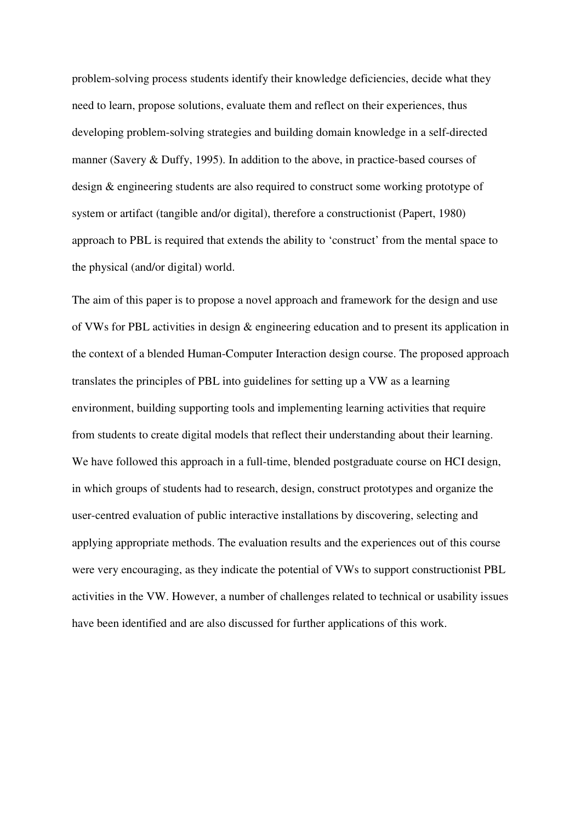problem-solving process students identify their knowledge deficiencies, decide what they need to learn, propose solutions, evaluate them and reflect on their experiences, thus developing problem-solving strategies and building domain knowledge in a self-directed manner (Savery & Duffy, 1995). In addition to the above, in practice-based courses of design & engineering students are also required to construct some working prototype of system or artifact (tangible and/or digital), therefore a constructionist (Papert, 1980) approach to PBL is required that extends the ability to 'construct' from the mental space to the physical (and/or digital) world.

The aim of this paper is to propose a novel approach and framework for the design and use of VWs for PBL activities in design & engineering education and to present its application in the context of a blended Human-Computer Interaction design course. The proposed approach translates the principles of PBL into guidelines for setting up a VW as a learning environment, building supporting tools and implementing learning activities that require from students to create digital models that reflect their understanding about their learning. We have followed this approach in a full-time, blended postgraduate course on HCI design, in which groups of students had to research, design, construct prototypes and organize the user-centred evaluation of public interactive installations by discovering, selecting and applying appropriate methods. The evaluation results and the experiences out of this course were very encouraging, as they indicate the potential of VWs to support constructionist PBL activities in the VW. However, a number of challenges related to technical or usability issues have been identified and are also discussed for further applications of this work.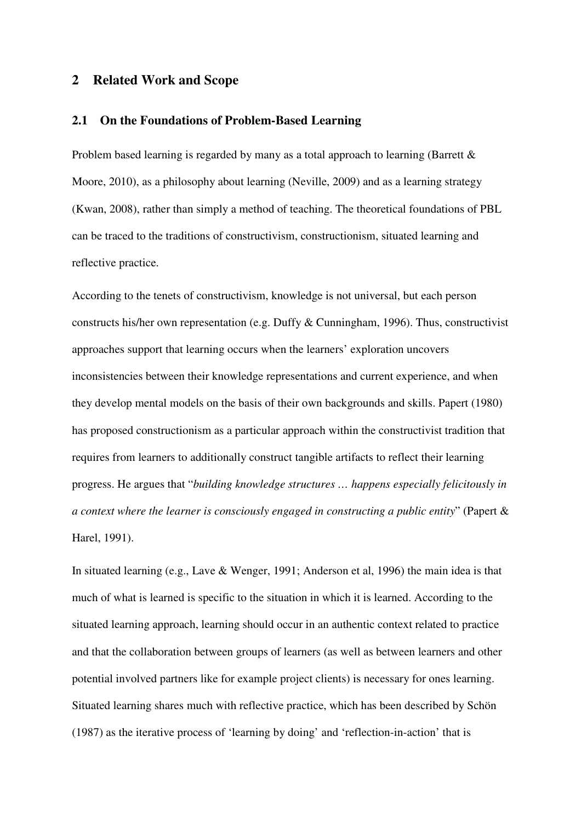## **2 Related Work and Scope**

#### **2.1 On the Foundations of Problem-Based Learning**

Problem based learning is regarded by many as a total approach to learning (Barrett & Moore, 2010), as a philosophy about learning (Neville, 2009) and as a learning strategy (Kwan, 2008), rather than simply a method of teaching. The theoretical foundations of PBL can be traced to the traditions of constructivism, constructionism, situated learning and reflective practice.

According to the tenets of constructivism, knowledge is not universal, but each person constructs his/her own representation (e.g. Duffy & Cunningham, 1996). Thus, constructivist approaches support that learning occurs when the learners' exploration uncovers inconsistencies between their knowledge representations and current experience, and when they develop mental models on the basis of their own backgrounds and skills. Papert (1980) has proposed constructionism as a particular approach within the constructivist tradition that requires from learners to additionally construct tangible artifacts to reflect their learning progress. He argues that "*building knowledge structures … happens especially felicitously in a context where the learner is consciously engaged in constructing a public entity*" (Papert & Harel, 1991).

In situated learning (e.g., Lave & Wenger, 1991; Anderson et al, 1996) the main idea is that much of what is learned is specific to the situation in which it is learned. According to the situated learning approach, learning should occur in an authentic context related to practice and that the collaboration between groups of learners (as well as between learners and other potential involved partners like for example project clients) is necessary for ones learning. Situated learning shares much with reflective practice, which has been described by Schön (1987) as the iterative process of 'learning by doing' and 'reflection-in-action' that is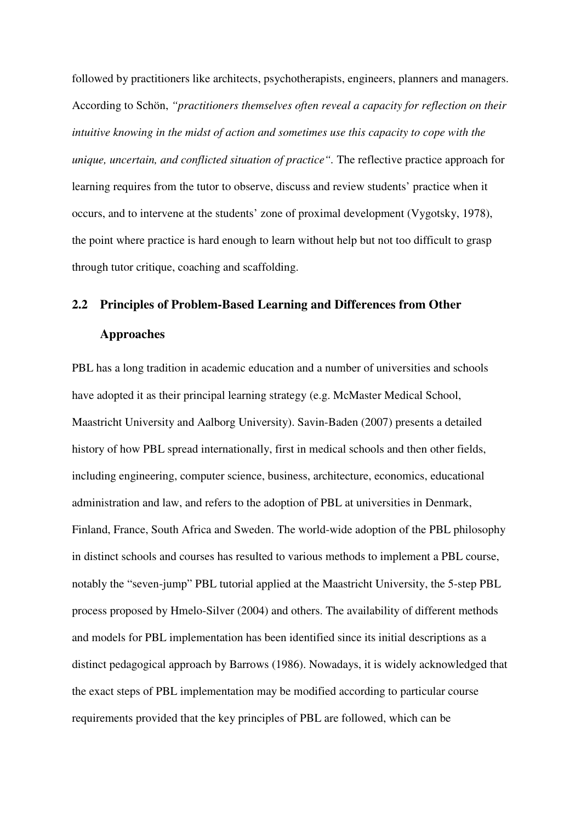followed by practitioners like architects, psychotherapists, engineers, planners and managers. According to Schön, *"practitioners themselves often reveal a capacity for reflection on their intuitive knowing in the midst of action and sometimes use this capacity to cope with the unique, uncertain, and conflicted situation of practice".* The reflective practice approach for learning requires from the tutor to observe, discuss and review students' practice when it occurs, and to intervene at the students' zone of proximal development (Vygotsky, 1978), the point where practice is hard enough to learn without help but not too difficult to grasp through tutor critique, coaching and scaffolding.

## **2.2 Principles of Problem-Based Learning and Differences from Other Approaches**

PBL has a long tradition in academic education and a number of universities and schools have adopted it as their principal learning strategy (e.g. McMaster Medical School, Maastricht University and Aalborg University). Savin-Baden (2007) presents a detailed history of how PBL spread internationally, first in medical schools and then other fields, including engineering, computer science, business, architecture, economics, educational administration and law, and refers to the adoption of PBL at universities in Denmark, Finland, France, South Africa and Sweden. The world-wide adoption of the PBL philosophy in distinct schools and courses has resulted to various methods to implement a PBL course, notably the "seven-jump" PBL tutorial applied at the Maastricht University, the 5-step PBL process proposed by Hmelo-Silver (2004) and others. The availability of different methods and models for PBL implementation has been identified since its initial descriptions as a distinct pedagogical approach by Barrows (1986). Nowadays, it is widely acknowledged that the exact steps of PBL implementation may be modified according to particular course requirements provided that the key principles of PBL are followed, which can be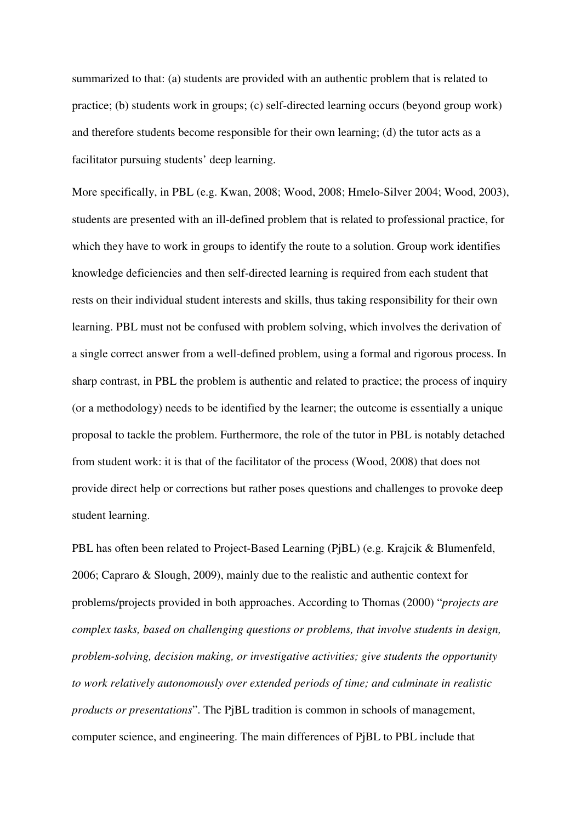summarized to that: (a) students are provided with an authentic problem that is related to practice; (b) students work in groups; (c) self-directed learning occurs (beyond group work) and therefore students become responsible for their own learning; (d) the tutor acts as a facilitator pursuing students' deep learning.

More specifically, in PBL (e.g. Kwan, 2008; Wood, 2008; Hmelo-Silver 2004; Wood, 2003), students are presented with an ill-defined problem that is related to professional practice, for which they have to work in groups to identify the route to a solution. Group work identifies knowledge deficiencies and then self-directed learning is required from each student that rests on their individual student interests and skills, thus taking responsibility for their own learning. PBL must not be confused with problem solving, which involves the derivation of a single correct answer from a well-defined problem, using a formal and rigorous process. In sharp contrast, in PBL the problem is authentic and related to practice; the process of inquiry (or a methodology) needs to be identified by the learner; the outcome is essentially a unique proposal to tackle the problem. Furthermore, the role of the tutor in PBL is notably detached from student work: it is that of the facilitator of the process (Wood, 2008) that does not provide direct help or corrections but rather poses questions and challenges to provoke deep student learning.

PBL has often been related to Project-Based Learning (PjBL) (e.g. Krajcik & Blumenfeld, 2006; Capraro & Slough, 2009), mainly due to the realistic and authentic context for problems/projects provided in both approaches. According to Thomas (2000) "*projects are complex tasks, based on challenging questions or problems, that involve students in design, problem-solving, decision making, or investigative activities; give students the opportunity to work relatively autonomously over extended periods of time; and culminate in realistic products or presentations*". The PjBL tradition is common in schools of management, computer science, and engineering. The main differences of PjBL to PBL include that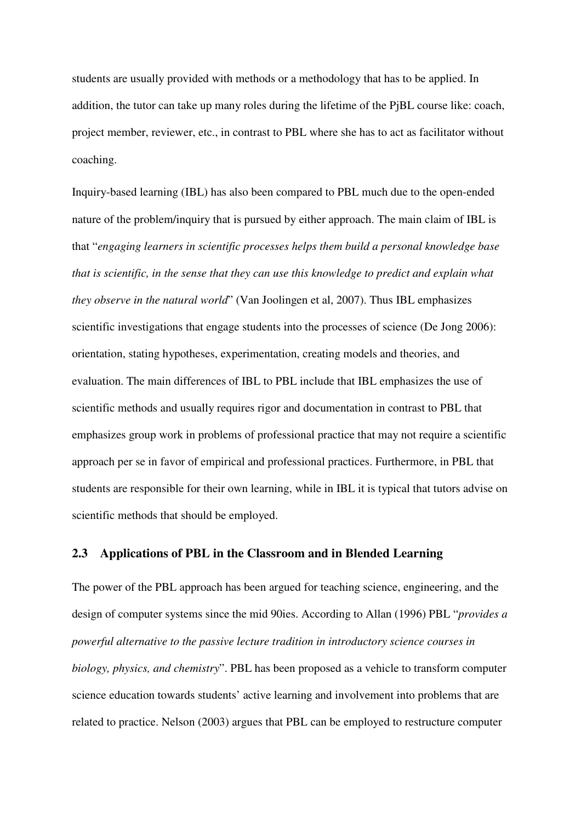students are usually provided with methods or a methodology that has to be applied. In addition, the tutor can take up many roles during the lifetime of the PjBL course like: coach, project member, reviewer, etc., in contrast to PBL where she has to act as facilitator without coaching.

Inquiry-based learning (IBL) has also been compared to PBL much due to the open-ended nature of the problem/inquiry that is pursued by either approach. The main claim of IBL is that "*engaging learners in scientific processes helps them build a personal knowledge base that is scientific, in the sense that they can use this knowledge to predict and explain what they observe in the natural world*" (Van Joolingen et al, 2007). Thus IBL emphasizes scientific investigations that engage students into the processes of science (De Jong 2006): orientation, stating hypotheses, experimentation, creating models and theories, and evaluation. The main differences of IBL to PBL include that IBL emphasizes the use of scientific methods and usually requires rigor and documentation in contrast to PBL that emphasizes group work in problems of professional practice that may not require a scientific approach per se in favor of empirical and professional practices. Furthermore, in PBL that students are responsible for their own learning, while in IBL it is typical that tutors advise on scientific methods that should be employed.

## **2.3 Applications of PBL in the Classroom and in Blended Learning**

The power of the PBL approach has been argued for teaching science, engineering, and the design of computer systems since the mid 90ies. According to Allan (1996) PBL "*provides a powerful alternative to the passive lecture tradition in introductory science courses in biology, physics, and chemistry*". PBL has been proposed as a vehicle to transform computer science education towards students' active learning and involvement into problems that are related to practice. Nelson (2003) argues that PBL can be employed to restructure computer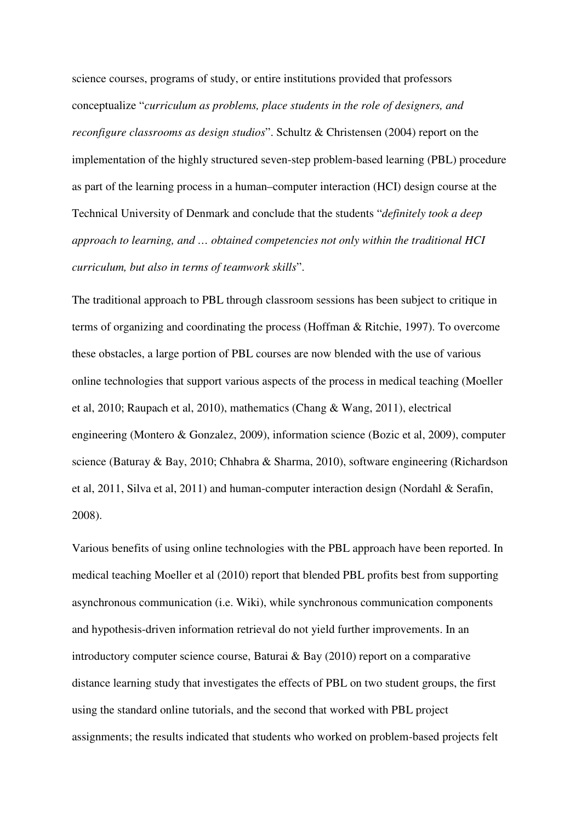science courses, programs of study, or entire institutions provided that professors conceptualize "*curriculum as problems, place students in the role of designers, and reconfigure classrooms as design studios*". Schultz & Christensen (2004) report on the implementation of the highly structured seven-step problem-based learning (PBL) procedure as part of the learning process in a human–computer interaction (HCI) design course at the Technical University of Denmark and conclude that the students "*definitely took a deep approach to learning, and … obtained competencies not only within the traditional HCI curriculum, but also in terms of teamwork skills*".

The traditional approach to PBL through classroom sessions has been subject to critique in terms of organizing and coordinating the process (Hoffman & Ritchie, 1997). To overcome these obstacles, a large portion of PBL courses are now blended with the use of various online technologies that support various aspects of the process in medical teaching (Moeller et al, 2010; Raupach et al, 2010), mathematics (Chang & Wang, 2011), electrical engineering (Montero & Gonzalez, 2009), information science (Bozic et al, 2009), computer science (Baturay & Bay, 2010; Chhabra & Sharma, 2010), software engineering (Richardson et al, 2011, Silva et al, 2011) and human-computer interaction design (Nordahl & Serafin, 2008).

Various benefits of using online technologies with the PBL approach have been reported. In medical teaching Moeller et al (2010) report that blended PBL profits best from supporting asynchronous communication (i.e. Wiki), while synchronous communication components and hypothesis-driven information retrieval do not yield further improvements. In an introductory computer science course, Baturai & Bay (2010) report on a comparative distance learning study that investigates the effects of PBL on two student groups, the first using the standard online tutorials, and the second that worked with PBL project assignments; the results indicated that students who worked on problem-based projects felt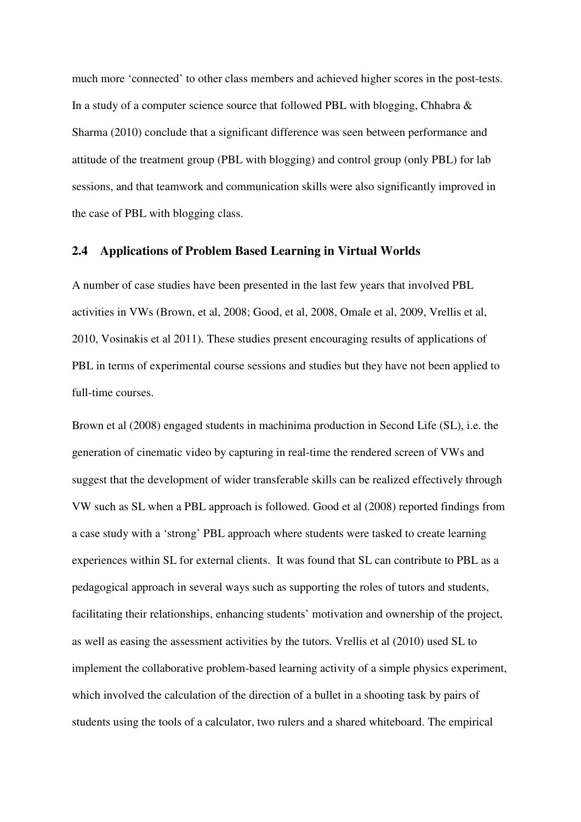much more 'connected' to other class members and achieved higher scores in the post-tests. In a study of a computer science source that followed PBL with blogging, Chhabra  $\&$ Sharma (2010) conclude that a significant difference was seen between performance and attitude of the treatment group (PBL with blogging) and control group (only PBL) for lab sessions, and that teamwork and communication skills were also significantly improved in the case of PBL with blogging class.

## **2.4 Applications of Problem Based Learning in Virtual Worlds**

A number of case studies have been presented in the last few years that involved PBL activities in VWs (Brown, et al, 2008; Good, et al, 2008, Omale et al, 2009, Vrellis et al, 2010, Vosinakis et al 2011). These studies present encouraging results of applications of PBL in terms of experimental course sessions and studies but they have not been applied to full-time courses.

Brown et al (2008) engaged students in machinima production in Second Life (SL), i.e. the generation of cinematic video by capturing in real-time the rendered screen of VWs and suggest that the development of wider transferable skills can be realized effectively through VW such as SL when a PBL approach is followed. Good et al (2008) reported findings from a case study with a 'strong' PBL approach where students were tasked to create learning experiences within SL for external clients. It was found that SL can contribute to PBL as a pedagogical approach in several ways such as supporting the roles of tutors and students, facilitating their relationships, enhancing students' motivation and ownership of the project, as well as easing the assessment activities by the tutors. Vrellis et al (2010) used SL to implement the collaborative problem-based learning activity of a simple physics experiment, which involved the calculation of the direction of a bullet in a shooting task by pairs of students using the tools of a calculator, two rulers and a shared whiteboard. The empirical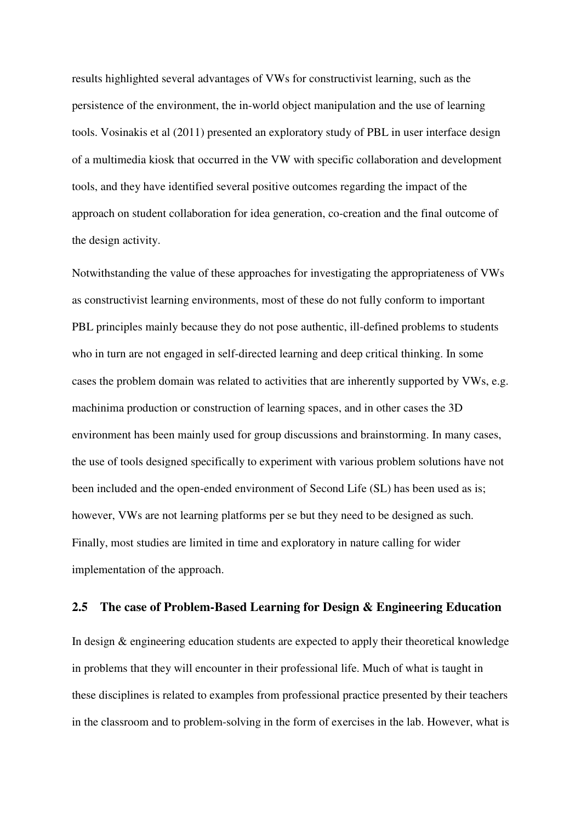results highlighted several advantages of VWs for constructivist learning, such as the persistence of the environment, the in-world object manipulation and the use of learning tools. Vosinakis et al (2011) presented an exploratory study of PBL in user interface design of a multimedia kiosk that occurred in the VW with specific collaboration and development tools, and they have identified several positive outcomes regarding the impact of the approach on student collaboration for idea generation, co-creation and the final outcome of the design activity.

Notwithstanding the value of these approaches for investigating the appropriateness of VWs as constructivist learning environments, most of these do not fully conform to important PBL principles mainly because they do not pose authentic, ill-defined problems to students who in turn are not engaged in self-directed learning and deep critical thinking. In some cases the problem domain was related to activities that are inherently supported by VWs, e.g. machinima production or construction of learning spaces, and in other cases the 3D environment has been mainly used for group discussions and brainstorming. In many cases, the use of tools designed specifically to experiment with various problem solutions have not been included and the open-ended environment of Second Life (SL) has been used as is; however, VWs are not learning platforms per se but they need to be designed as such. Finally, most studies are limited in time and exploratory in nature calling for wider implementation of the approach.

## **2.5 The case of Problem-Based Learning for Design & Engineering Education**

In design & engineering education students are expected to apply their theoretical knowledge in problems that they will encounter in their professional life. Much of what is taught in these disciplines is related to examples from professional practice presented by their teachers in the classroom and to problem-solving in the form of exercises in the lab. However, what is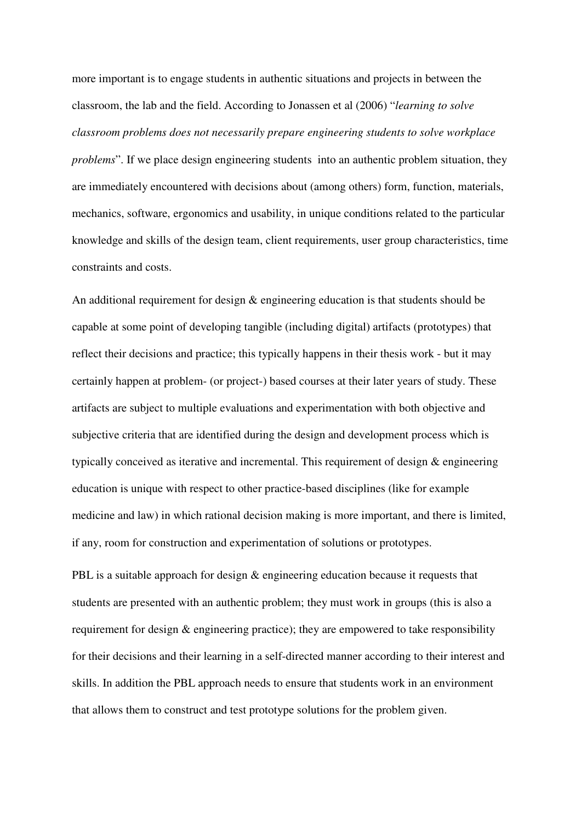more important is to engage students in authentic situations and projects in between the classroom, the lab and the field. According to Jonassen et al (2006) "*learning to solve classroom problems does not necessarily prepare engineering students to solve workplace problems*". If we place design engineering students into an authentic problem situation, they are immediately encountered with decisions about (among others) form, function, materials, mechanics, software, ergonomics and usability, in unique conditions related to the particular knowledge and skills of the design team, client requirements, user group characteristics, time constraints and costs.

An additional requirement for design & engineering education is that students should be capable at some point of developing tangible (including digital) artifacts (prototypes) that reflect their decisions and practice; this typically happens in their thesis work - but it may certainly happen at problem- (or project-) based courses at their later years of study. These artifacts are subject to multiple evaluations and experimentation with both objective and subjective criteria that are identified during the design and development process which is typically conceived as iterative and incremental. This requirement of design & engineering education is unique with respect to other practice-based disciplines (like for example medicine and law) in which rational decision making is more important, and there is limited, if any, room for construction and experimentation of solutions or prototypes.

PBL is a suitable approach for design & engineering education because it requests that students are presented with an authentic problem; they must work in groups (this is also a requirement for design & engineering practice); they are empowered to take responsibility for their decisions and their learning in a self-directed manner according to their interest and skills. In addition the PBL approach needs to ensure that students work in an environment that allows them to construct and test prototype solutions for the problem given.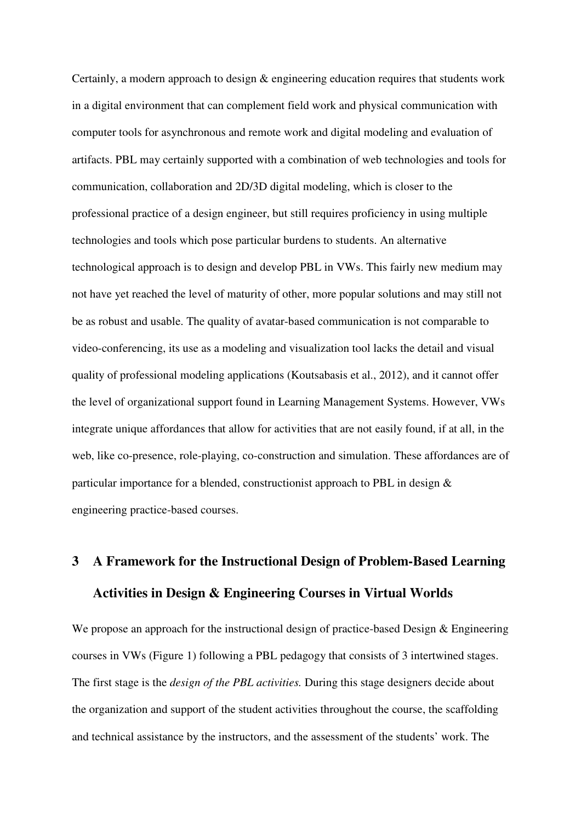Certainly, a modern approach to design & engineering education requires that students work in a digital environment that can complement field work and physical communication with computer tools for asynchronous and remote work and digital modeling and evaluation of artifacts. PBL may certainly supported with a combination of web technologies and tools for communication, collaboration and 2D/3D digital modeling, which is closer to the professional practice of a design engineer, but still requires proficiency in using multiple technologies and tools which pose particular burdens to students. An alternative technological approach is to design and develop PBL in VWs. This fairly new medium may not have yet reached the level of maturity of other, more popular solutions and may still not be as robust and usable. The quality of avatar-based communication is not comparable to video-conferencing, its use as a modeling and visualization tool lacks the detail and visual quality of professional modeling applications (Koutsabasis et al., 2012), and it cannot offer the level of organizational support found in Learning Management Systems. However, VWs integrate unique affordances that allow for activities that are not easily found, if at all, in the web, like co-presence, role-playing, co-construction and simulation. These affordances are of particular importance for a blended, constructionist approach to PBL in design & engineering practice-based courses.

## **3 A Framework for the Instructional Design of Problem-Based Learning Activities in Design & Engineering Courses in Virtual Worlds**

We propose an approach for the instructional design of practice-based Design & Engineering courses in VWs (Figure 1) following a PBL pedagogy that consists of 3 intertwined stages. The first stage is the *design of the PBL activities.* During this stage designers decide about the organization and support of the student activities throughout the course, the scaffolding and technical assistance by the instructors, and the assessment of the students' work. The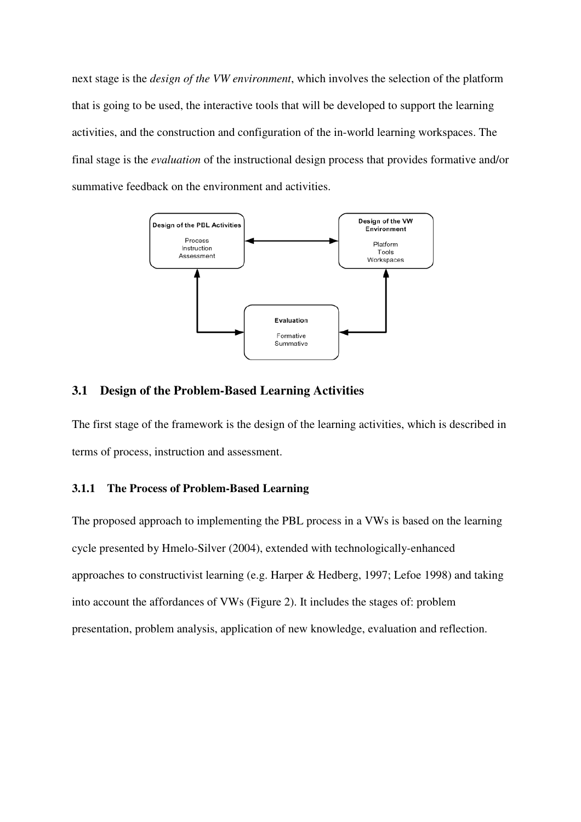next stage is the *design of the VW environment*, which involves the selection of the platform that is going to be used, the interactive tools that will be developed to support the learning activities, and the construction and configuration of the in-world learning workspaces. The final stage is the *evaluation* of the instructional design process that provides formative and/or summative feedback on the environment and activities.



## **3.1 Design of the Problem-Based Learning Activities**

The first stage of the framework is the design of the learning activities, which is described in terms of process, instruction and assessment.

## **3.1.1 The Process of Problem-Based Learning**

The proposed approach to implementing the PBL process in a VWs is based on the learning cycle presented by Hmelo-Silver (2004), extended with technologically-enhanced approaches to constructivist learning (e.g. Harper & Hedberg, 1997; Lefoe 1998) and taking into account the affordances of VWs (Figure 2). It includes the stages of: problem presentation, problem analysis, application of new knowledge, evaluation and reflection.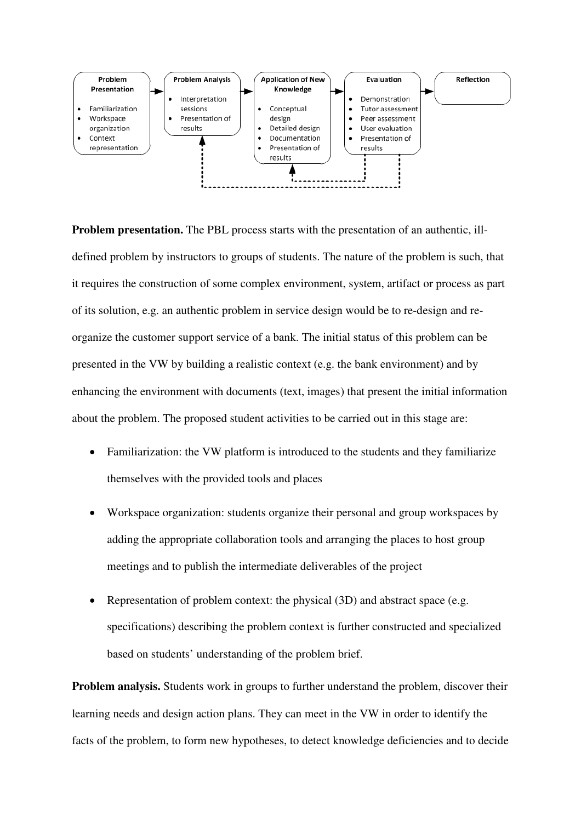

**Problem presentation.** The PBL process starts with the presentation of an authentic, illdefined problem by instructors to groups of students. The nature of the problem is such, that it requires the construction of some complex environment, system, artifact or process as part of its solution, e.g. an authentic problem in service design would be to re-design and reorganize the customer support service of a bank. The initial status of this problem can be presented in the VW by building a realistic context (e.g. the bank environment) and by enhancing the environment with documents (text, images) that present the initial information about the problem. The proposed student activities to be carried out in this stage are:

- Familiarization: the VW platform is introduced to the students and they familiarize themselves with the provided tools and places
- Workspace organization: students organize their personal and group workspaces by adding the appropriate collaboration tools and arranging the places to host group meetings and to publish the intermediate deliverables of the project
- Representation of problem context: the physical (3D) and abstract space (e.g. specifications) describing the problem context is further constructed and specialized based on students' understanding of the problem brief.

**Problem analysis.** Students work in groups to further understand the problem, discover their learning needs and design action plans. They can meet in the VW in order to identify the facts of the problem, to form new hypotheses, to detect knowledge deficiencies and to decide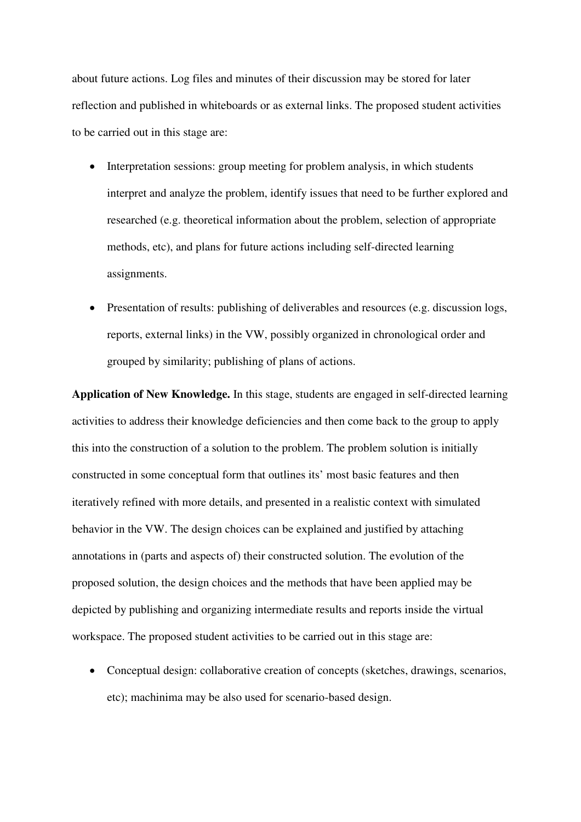about future actions. Log files and minutes of their discussion may be stored for later reflection and published in whiteboards or as external links. The proposed student activities to be carried out in this stage are:

- Interpretation sessions: group meeting for problem analysis, in which students interpret and analyze the problem, identify issues that need to be further explored and researched (e.g. theoretical information about the problem, selection of appropriate methods, etc), and plans for future actions including self-directed learning assignments.
- Presentation of results: publishing of deliverables and resources (e.g. discussion logs, reports, external links) in the VW, possibly organized in chronological order and grouped by similarity; publishing of plans of actions.

**Application of New Knowledge.** In this stage, students are engaged in self-directed learning activities to address their knowledge deficiencies and then come back to the group to apply this into the construction of a solution to the problem. The problem solution is initially constructed in some conceptual form that outlines its' most basic features and then iteratively refined with more details, and presented in a realistic context with simulated behavior in the VW. The design choices can be explained and justified by attaching annotations in (parts and aspects of) their constructed solution. The evolution of the proposed solution, the design choices and the methods that have been applied may be depicted by publishing and organizing intermediate results and reports inside the virtual workspace. The proposed student activities to be carried out in this stage are:

• Conceptual design: collaborative creation of concepts (sketches, drawings, scenarios, etc); machinima may be also used for scenario-based design.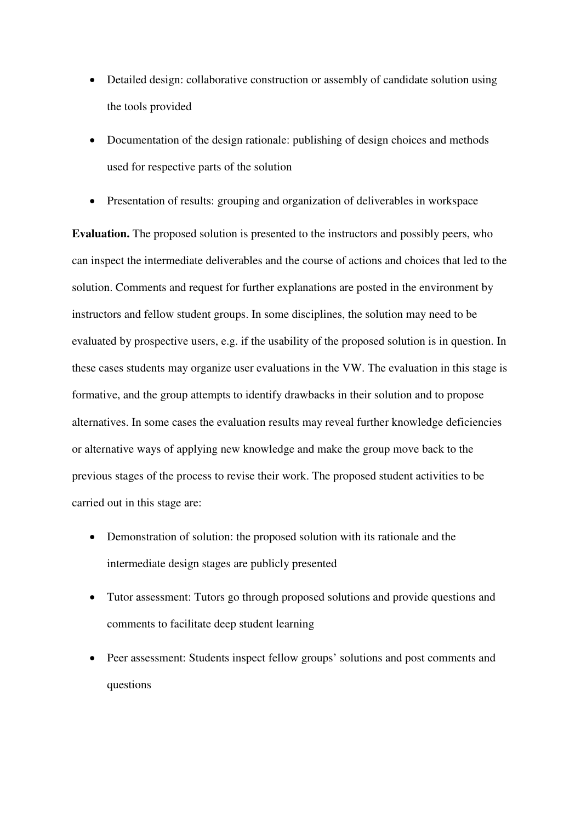- Detailed design: collaborative construction or assembly of candidate solution using the tools provided
- Documentation of the design rationale: publishing of design choices and methods used for respective parts of the solution
- Presentation of results: grouping and organization of deliverables in workspace

**Evaluation.** The proposed solution is presented to the instructors and possibly peers, who can inspect the intermediate deliverables and the course of actions and choices that led to the solution. Comments and request for further explanations are posted in the environment by instructors and fellow student groups. In some disciplines, the solution may need to be evaluated by prospective users, e.g. if the usability of the proposed solution is in question. In these cases students may organize user evaluations in the VW. The evaluation in this stage is formative, and the group attempts to identify drawbacks in their solution and to propose alternatives. In some cases the evaluation results may reveal further knowledge deficiencies or alternative ways of applying new knowledge and make the group move back to the previous stages of the process to revise their work. The proposed student activities to be carried out in this stage are:

- Demonstration of solution: the proposed solution with its rationale and the intermediate design stages are publicly presented
- Tutor assessment: Tutors go through proposed solutions and provide questions and comments to facilitate deep student learning
- Peer assessment: Students inspect fellow groups' solutions and post comments and questions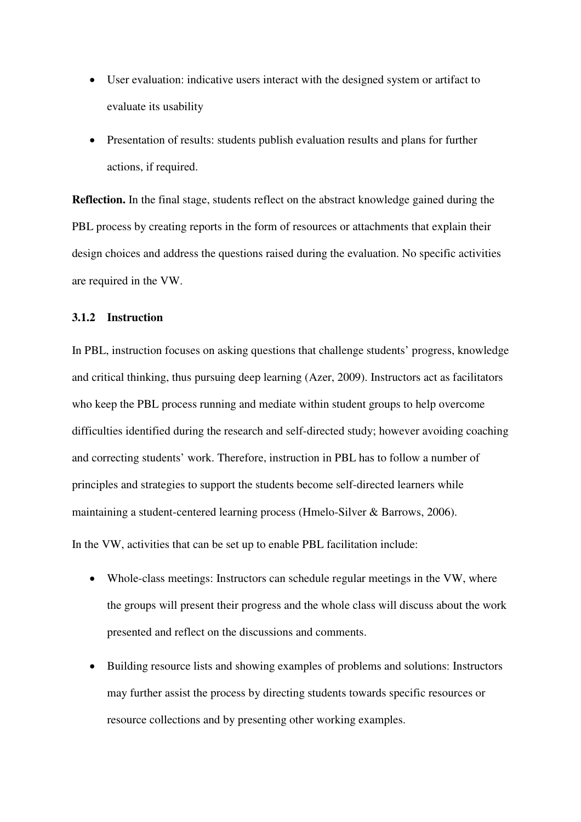- User evaluation: indicative users interact with the designed system or artifact to evaluate its usability
- Presentation of results: students publish evaluation results and plans for further actions, if required.

**Reflection.** In the final stage, students reflect on the abstract knowledge gained during the PBL process by creating reports in the form of resources or attachments that explain their design choices and address the questions raised during the evaluation. No specific activities are required in the VW.

### **3.1.2 Instruction**

In PBL, instruction focuses on asking questions that challenge students' progress, knowledge and critical thinking, thus pursuing deep learning (Azer, 2009). Instructors act as facilitators who keep the PBL process running and mediate within student groups to help overcome difficulties identified during the research and self-directed study; however avoiding coaching and correcting students' work. Therefore, instruction in PBL has to follow a number of principles and strategies to support the students become self-directed learners while maintaining a student-centered learning process (Hmelo-Silver & Barrows, 2006).

In the VW, activities that can be set up to enable PBL facilitation include:

- Whole-class meetings: Instructors can schedule regular meetings in the VW, where the groups will present their progress and the whole class will discuss about the work presented and reflect on the discussions and comments.
- Building resource lists and showing examples of problems and solutions: Instructors may further assist the process by directing students towards specific resources or resource collections and by presenting other working examples.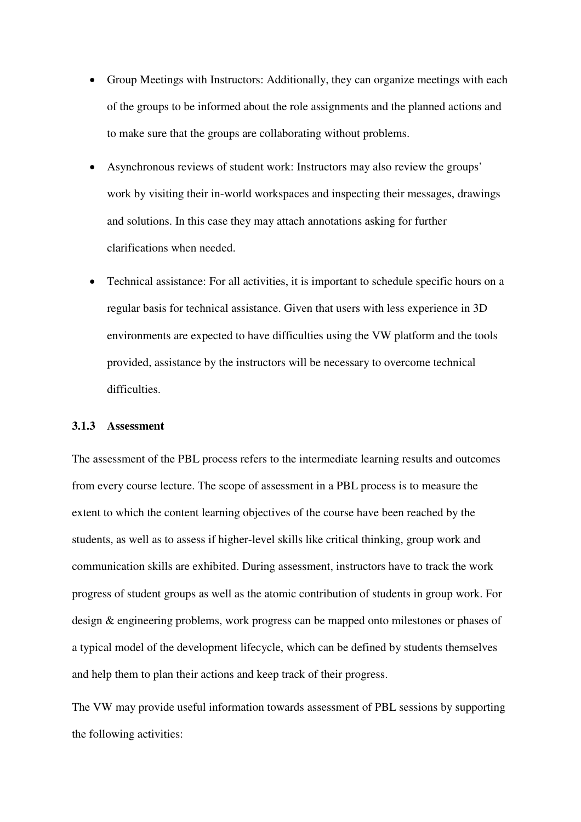- Group Meetings with Instructors: Additionally, they can organize meetings with each of the groups to be informed about the role assignments and the planned actions and to make sure that the groups are collaborating without problems.
- Asynchronous reviews of student work: Instructors may also review the groups' work by visiting their in-world workspaces and inspecting their messages, drawings and solutions. In this case they may attach annotations asking for further clarifications when needed.
- Technical assistance: For all activities, it is important to schedule specific hours on a regular basis for technical assistance. Given that users with less experience in 3D environments are expected to have difficulties using the VW platform and the tools provided, assistance by the instructors will be necessary to overcome technical difficulties.

#### **3.1.3 Assessment**

The assessment of the PBL process refers to the intermediate learning results and outcomes from every course lecture. The scope of assessment in a PBL process is to measure the extent to which the content learning objectives of the course have been reached by the students, as well as to assess if higher-level skills like critical thinking, group work and communication skills are exhibited. During assessment, instructors have to track the work progress of student groups as well as the atomic contribution of students in group work. For design & engineering problems, work progress can be mapped onto milestones or phases of a typical model of the development lifecycle, which can be defined by students themselves and help them to plan their actions and keep track of their progress.

The VW may provide useful information towards assessment of PBL sessions by supporting the following activities: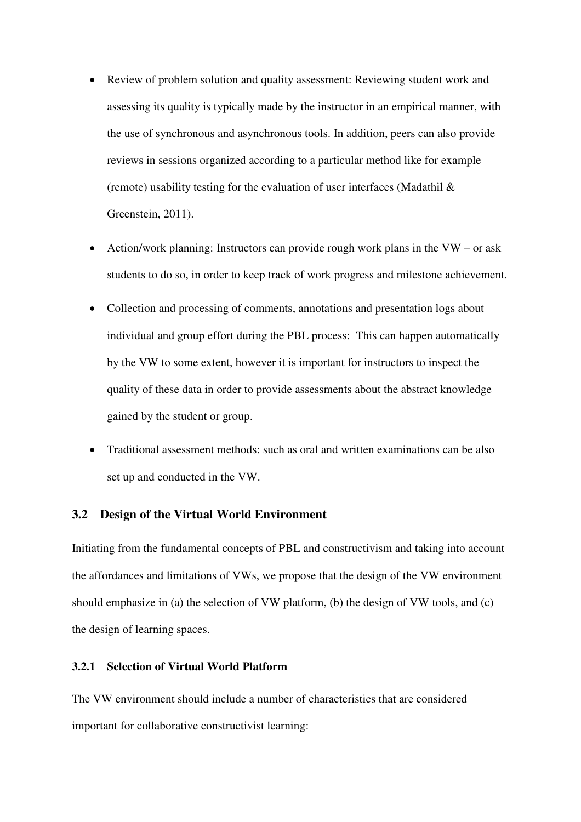- Review of problem solution and quality assessment: Reviewing student work and assessing its quality is typically made by the instructor in an empirical manner, with the use of synchronous and asynchronous tools. In addition, peers can also provide reviews in sessions organized according to a particular method like for example (remote) usability testing for the evaluation of user interfaces (Madathil & Greenstein, 2011).
- Action/work planning: Instructors can provide rough work plans in the VW or ask students to do so, in order to keep track of work progress and milestone achievement.
- Collection and processing of comments, annotations and presentation logs about individual and group effort during the PBL process: This can happen automatically by the VW to some extent, however it is important for instructors to inspect the quality of these data in order to provide assessments about the abstract knowledge gained by the student or group.
- Traditional assessment methods: such as oral and written examinations can be also set up and conducted in the VW.

## **3.2 Design of the Virtual World Environment**

Initiating from the fundamental concepts of PBL and constructivism and taking into account the affordances and limitations of VWs, we propose that the design of the VW environment should emphasize in (a) the selection of VW platform, (b) the design of VW tools, and (c) the design of learning spaces.

#### **3.2.1 Selection of Virtual World Platform**

The VW environment should include a number of characteristics that are considered important for collaborative constructivist learning: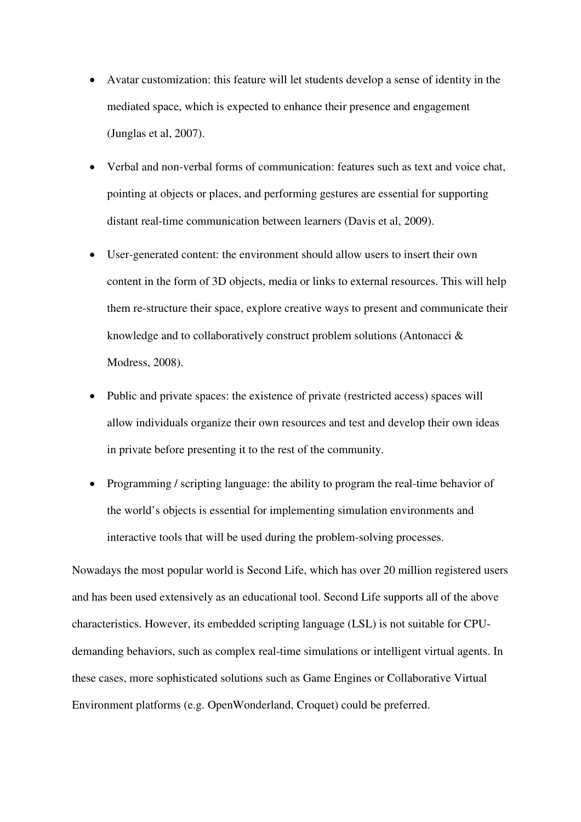- Avatar customization: this feature will let students develop a sense of identity in the mediated space, which is expected to enhance their presence and engagement (Junglas et al, 2007).
- Verbal and non-verbal forms of communication: features such as text and voice chat, pointing at objects or places, and performing gestures are essential for supporting distant real-time communication between learners (Davis et al, 2009).
- User-generated content: the environment should allow users to insert their own content in the form of 3D objects, media or links to external resources. This will help them re-structure their space, explore creative ways to present and communicate their knowledge and to collaboratively construct problem solutions (Antonacci & Modress, 2008).
- Public and private spaces: the existence of private (restricted access) spaces will allow individuals organize their own resources and test and develop their own ideas in private before presenting it to the rest of the community.
- Programming / scripting language: the ability to program the real-time behavior of the world's objects is essential for implementing simulation environments and interactive tools that will be used during the problem-solving processes.

Nowadays the most popular world is Second Life, which has over 20 million registered users and has been used extensively as an educational tool. Second Life supports all of the above characteristics. However, its embedded scripting language (LSL) is not suitable for CPUdemanding behaviors, such as complex real-time simulations or intelligent virtual agents. In these cases, more sophisticated solutions such as Game Engines or Collaborative Virtual Environment platforms (e.g. OpenWonderland, Croquet) could be preferred.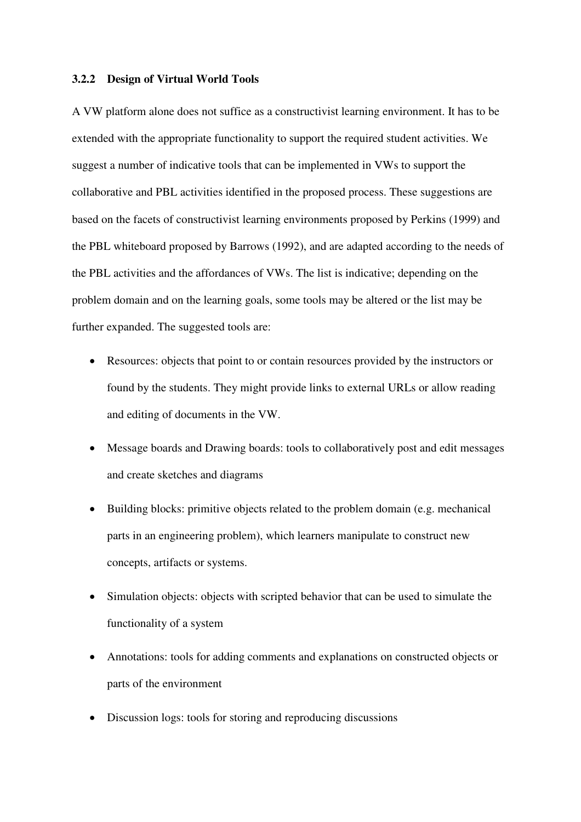#### **3.2.2 Design of Virtual World Tools**

A VW platform alone does not suffice as a constructivist learning environment. It has to be extended with the appropriate functionality to support the required student activities. We suggest a number of indicative tools that can be implemented in VWs to support the collaborative and PBL activities identified in the proposed process. These suggestions are based on the facets of constructivist learning environments proposed by Perkins (1999) and the PBL whiteboard proposed by Barrows (1992), and are adapted according to the needs of the PBL activities and the affordances of VWs. The list is indicative; depending on the problem domain and on the learning goals, some tools may be altered or the list may be further expanded. The suggested tools are:

- Resources: objects that point to or contain resources provided by the instructors or found by the students. They might provide links to external URLs or allow reading and editing of documents in the VW.
- Message boards and Drawing boards: tools to collaboratively post and edit messages and create sketches and diagrams
- Building blocks: primitive objects related to the problem domain (e.g. mechanical parts in an engineering problem), which learners manipulate to construct new concepts, artifacts or systems.
- Simulation objects: objects with scripted behavior that can be used to simulate the functionality of a system
- Annotations: tools for adding comments and explanations on constructed objects or parts of the environment
- Discussion logs: tools for storing and reproducing discussions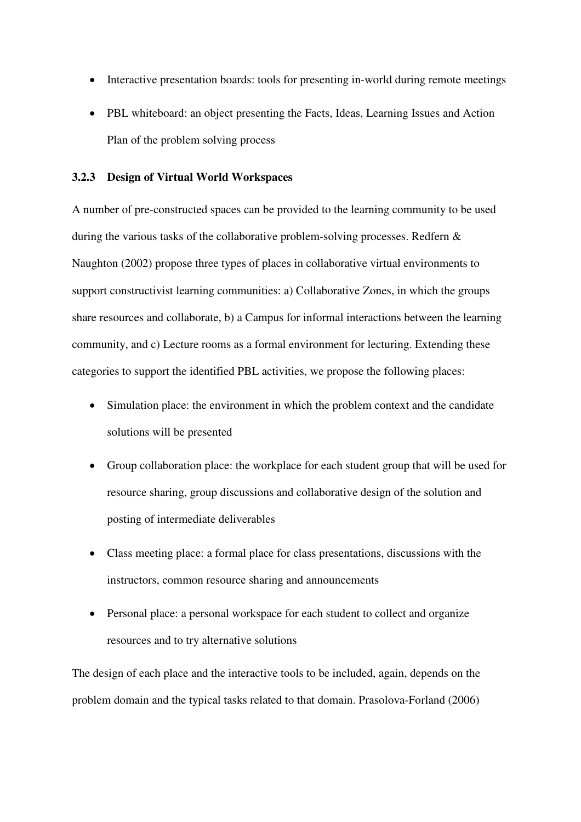- Interactive presentation boards: tools for presenting in-world during remote meetings
- PBL whiteboard: an object presenting the Facts, Ideas, Learning Issues and Action Plan of the problem solving process

## **3.2.3 Design of Virtual World Workspaces**

A number of pre-constructed spaces can be provided to the learning community to be used during the various tasks of the collaborative problem-solving processes. Redfern & Naughton (2002) propose three types of places in collaborative virtual environments to support constructivist learning communities: a) Collaborative Zones, in which the groups share resources and collaborate, b) a Campus for informal interactions between the learning community, and c) Lecture rooms as a formal environment for lecturing. Extending these categories to support the identified PBL activities, we propose the following places:

- Simulation place: the environment in which the problem context and the candidate solutions will be presented
- Group collaboration place: the workplace for each student group that will be used for resource sharing, group discussions and collaborative design of the solution and posting of intermediate deliverables
- Class meeting place: a formal place for class presentations, discussions with the instructors, common resource sharing and announcements
- Personal place: a personal workspace for each student to collect and organize resources and to try alternative solutions

The design of each place and the interactive tools to be included, again, depends on the problem domain and the typical tasks related to that domain. Prasolova-Forland (2006)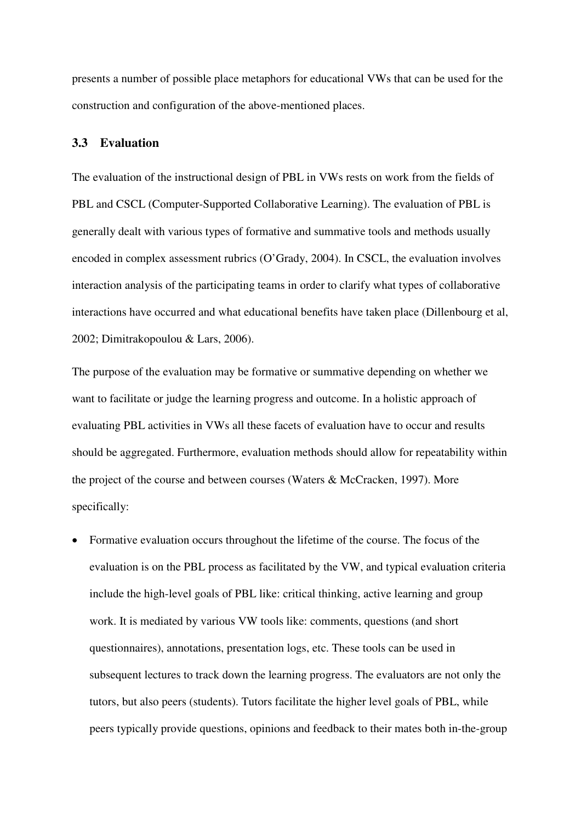presents a number of possible place metaphors for educational VWs that can be used for the construction and configuration of the above-mentioned places.

#### **3.3 Evaluation**

The evaluation of the instructional design of PBL in VWs rests on work from the fields of PBL and CSCL (Computer-Supported Collaborative Learning). The evaluation of PBL is generally dealt with various types of formative and summative tools and methods usually encoded in complex assessment rubrics (O'Grady, 2004). In CSCL, the evaluation involves interaction analysis of the participating teams in order to clarify what types of collaborative interactions have occurred and what educational benefits have taken place (Dillenbourg et al, 2002; Dimitrakopoulou & Lars, 2006).

The purpose of the evaluation may be formative or summative depending on whether we want to facilitate or judge the learning progress and outcome. In a holistic approach of evaluating PBL activities in VWs all these facets of evaluation have to occur and results should be aggregated. Furthermore, evaluation methods should allow for repeatability within the project of the course and between courses (Waters & McCracken, 1997). More specifically:

• Formative evaluation occurs throughout the lifetime of the course. The focus of the evaluation is on the PBL process as facilitated by the VW, and typical evaluation criteria include the high-level goals of PBL like: critical thinking, active learning and group work. It is mediated by various VW tools like: comments, questions (and short questionnaires), annotations, presentation logs, etc. These tools can be used in subsequent lectures to track down the learning progress. The evaluators are not only the tutors, but also peers (students). Tutors facilitate the higher level goals of PBL, while peers typically provide questions, opinions and feedback to their mates both in-the-group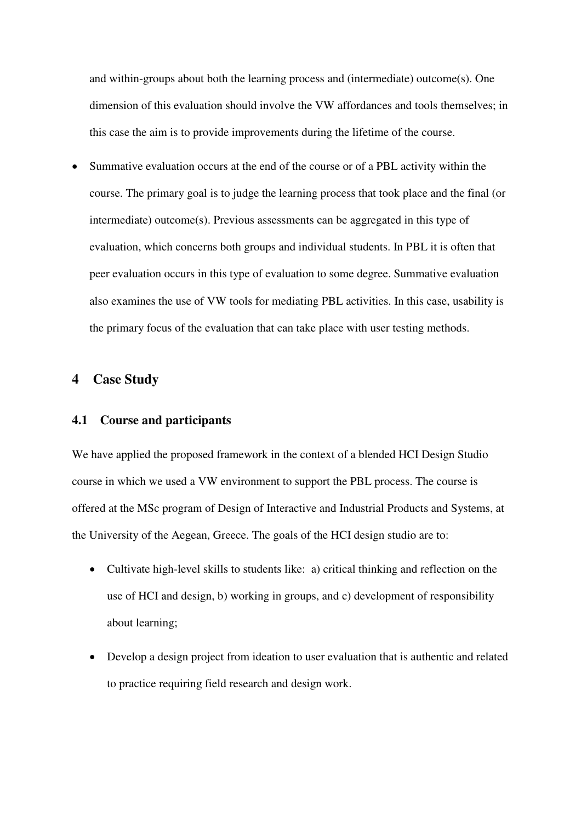and within-groups about both the learning process and (intermediate) outcome(s). One dimension of this evaluation should involve the VW affordances and tools themselves; in this case the aim is to provide improvements during the lifetime of the course.

• Summative evaluation occurs at the end of the course or of a PBL activity within the course. The primary goal is to judge the learning process that took place and the final (or intermediate) outcome(s). Previous assessments can be aggregated in this type of evaluation, which concerns both groups and individual students. In PBL it is often that peer evaluation occurs in this type of evaluation to some degree. Summative evaluation also examines the use of VW tools for mediating PBL activities. In this case, usability is the primary focus of the evaluation that can take place with user testing methods.

## **4 Case Study**

#### **4.1 Course and participants**

We have applied the proposed framework in the context of a blended HCI Design Studio course in which we used a VW environment to support the PBL process. The course is offered at the MSc program of Design of Interactive and Industrial Products and Systems, at the University of the Aegean, Greece. The goals of the HCI design studio are to:

- Cultivate high-level skills to students like: a) critical thinking and reflection on the use of HCI and design, b) working in groups, and c) development of responsibility about learning;
- Develop a design project from ideation to user evaluation that is authentic and related to practice requiring field research and design work.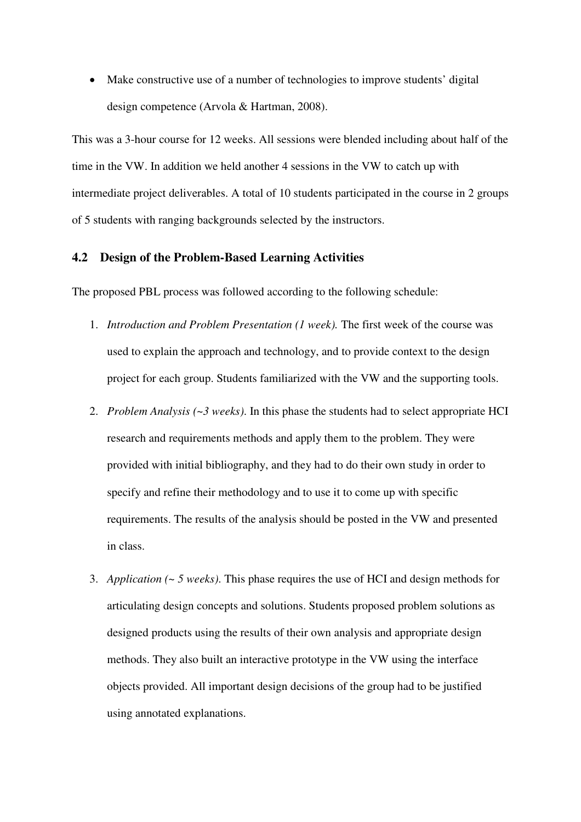• Make constructive use of a number of technologies to improve students' digital design competence (Arvola & Hartman, 2008).

This was a 3-hour course for 12 weeks. All sessions were blended including about half of the time in the VW. In addition we held another 4 sessions in the VW to catch up with intermediate project deliverables. A total of 10 students participated in the course in 2 groups of 5 students with ranging backgrounds selected by the instructors.

## **4.2 Design of the Problem-Based Learning Activities**

The proposed PBL process was followed according to the following schedule:

- 1. *Introduction and Problem Presentation (1 week).* The first week of the course was used to explain the approach and technology, and to provide context to the design project for each group. Students familiarized with the VW and the supporting tools.
- 2. *Problem Analysis (~3 weeks)*. In this phase the students had to select appropriate HCI research and requirements methods and apply them to the problem. They were provided with initial bibliography, and they had to do their own study in order to specify and refine their methodology and to use it to come up with specific requirements. The results of the analysis should be posted in the VW and presented in class.
- 3. *Application (~ 5 weeks)*. This phase requires the use of HCI and design methods for articulating design concepts and solutions. Students proposed problem solutions as designed products using the results of their own analysis and appropriate design methods. They also built an interactive prototype in the VW using the interface objects provided. All important design decisions of the group had to be justified using annotated explanations.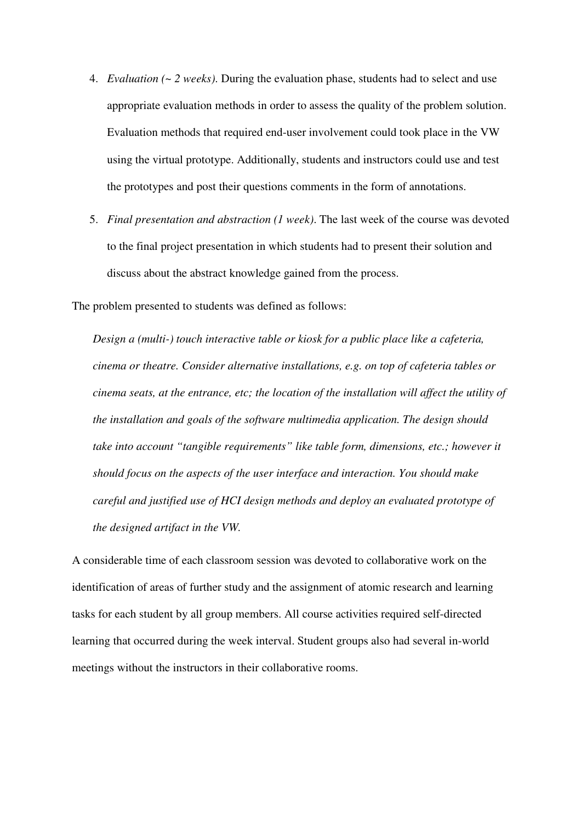- 4. *Evaluation (~ 2 weeks)*. During the evaluation phase, students had to select and use appropriate evaluation methods in order to assess the quality of the problem solution. Evaluation methods that required end-user involvement could took place in the VW using the virtual prototype. Additionally, students and instructors could use and test the prototypes and post their questions comments in the form of annotations.
- 5. *Final presentation and abstraction (1 week)*. The last week of the course was devoted to the final project presentation in which students had to present their solution and discuss about the abstract knowledge gained from the process.

The problem presented to students was defined as follows:

*Design a (multi-) touch interactive table or kiosk for a public place like a cafeteria, cinema or theatre. Consider alternative installations, e.g. on top of cafeteria tables or cinema seats, at the entrance, etc; the location of the installation will affect the utility of the installation and goals of the software multimedia application. The design should take into account "tangible requirements" like table form, dimensions, etc.; however it should focus on the aspects of the user interface and interaction. You should make careful and justified use of HCI design methods and deploy an evaluated prototype of the designed artifact in the VW.* 

A considerable time of each classroom session was devoted to collaborative work on the identification of areas of further study and the assignment of atomic research and learning tasks for each student by all group members. All course activities required self-directed learning that occurred during the week interval. Student groups also had several in-world meetings without the instructors in their collaborative rooms.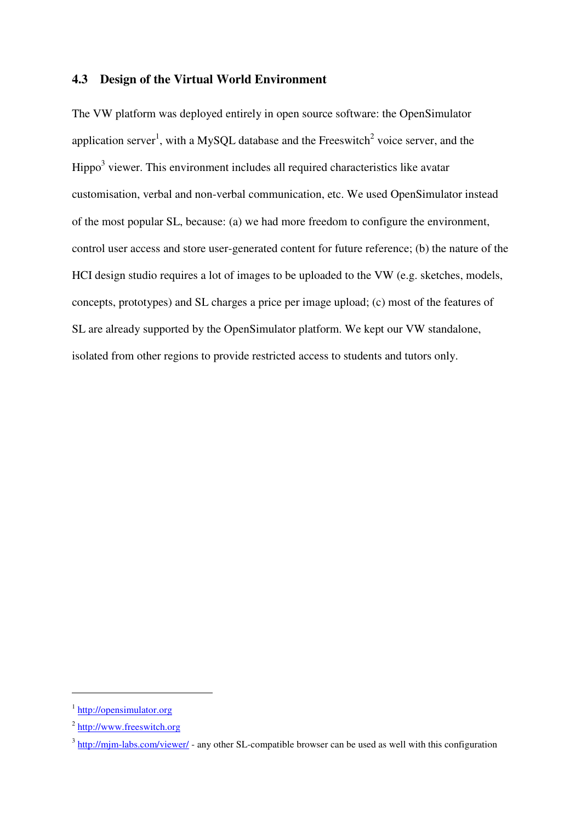## **4.3 Design of the Virtual World Environment**

The VW platform was deployed entirely in open source software: the OpenSimulator application server<sup>1</sup>, with a MySQL database and the Freeswitch<sup>2</sup> voice server, and the  $Hippo<sup>3</sup>$  viewer. This environment includes all required characteristics like avatar customisation, verbal and non-verbal communication, etc. We used OpenSimulator instead of the most popular SL, because: (a) we had more freedom to configure the environment, control user access and store user-generated content for future reference; (b) the nature of the HCI design studio requires a lot of images to be uploaded to the VW (e.g. sketches, models, concepts, prototypes) and SL charges a price per image upload; (c) most of the features of SL are already supported by the OpenSimulator platform. We kept our VW standalone, isolated from other regions to provide restricted access to students and tutors only.

 $\overline{a}$ 

<sup>&</sup>lt;sup>1</sup> http://opensimulator.org

<sup>&</sup>lt;sup>2</sup> http://www.freeswitch.org

 $3 \frac{\text{http://mjm-labs.com/viewer/}}{\text{http://mjm-labs.com/viewer/}}$  any other SL-compatible browser can be used as well with this configuration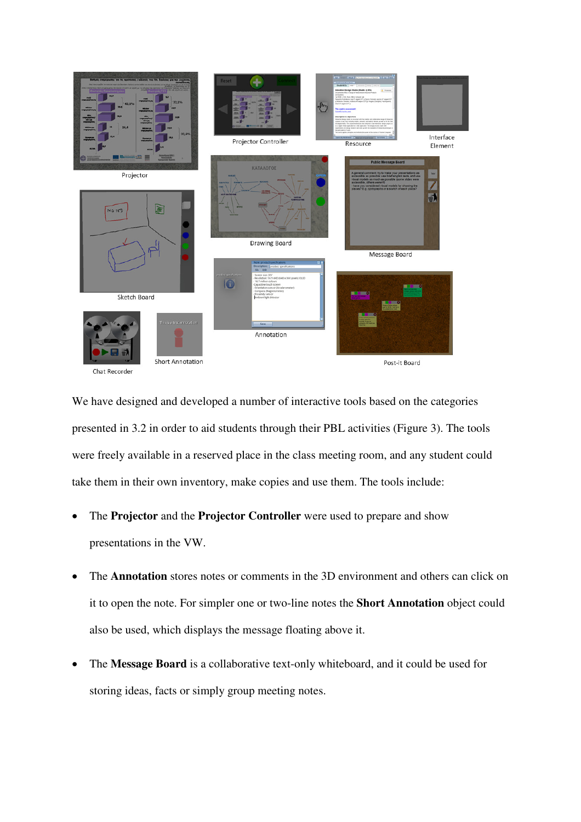

We have designed and developed a number of interactive tools based on the categories presented in 3.2 in order to aid students through their PBL activities (Figure 3). The tools were freely available in a reserved place in the class meeting room, and any student could take them in their own inventory, make copies and use them. The tools include:

- The **Projector** and the **Projector Controller** were used to prepare and show presentations in the VW.
- The **Annotation** stores notes or comments in the 3D environment and others can click on it to open the note. For simpler one or two-line notes the **Short Annotation** object could also be used, which displays the message floating above it.
- The **Message Board** is a collaborative text-only whiteboard, and it could be used for storing ideas, facts or simply group meeting notes.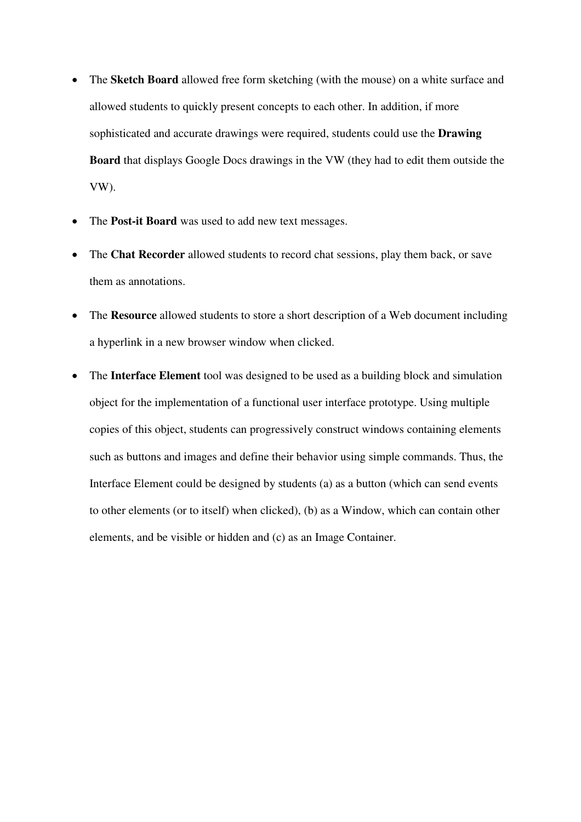- The **Sketch Board** allowed free form sketching (with the mouse) on a white surface and allowed students to quickly present concepts to each other. In addition, if more sophisticated and accurate drawings were required, students could use the **Drawing Board** that displays Google Docs drawings in the VW (they had to edit them outside the VW).
- The **Post-it Board** was used to add new text messages.
- The **Chat Recorder** allowed students to record chat sessions, play them back, or save them as annotations.
- The **Resource** allowed students to store a short description of a Web document including a hyperlink in a new browser window when clicked.
- The **Interface Element** tool was designed to be used as a building block and simulation object for the implementation of a functional user interface prototype. Using multiple copies of this object, students can progressively construct windows containing elements such as buttons and images and define their behavior using simple commands. Thus, the Interface Element could be designed by students (a) as a button (which can send events to other elements (or to itself) when clicked), (b) as a Window, which can contain other elements, and be visible or hidden and (c) as an Image Container.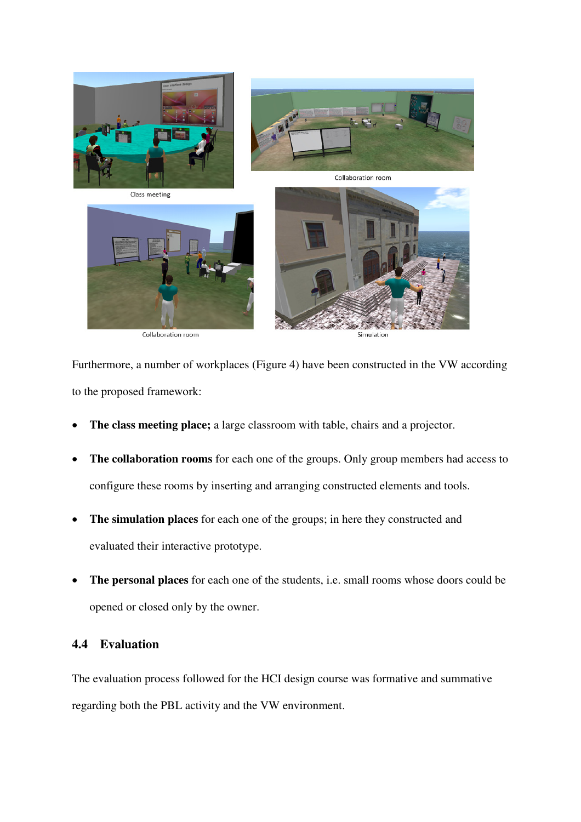

Collaboration room

Simulation

Furthermore, a number of workplaces (Figure 4) have been constructed in the VW according to the proposed framework:

- **The class meeting place;** a large classroom with table, chairs and a projector.
- **The collaboration rooms** for each one of the groups. Only group members had access to configure these rooms by inserting and arranging constructed elements and tools.
- **The simulation places** for each one of the groups; in here they constructed and evaluated their interactive prototype.
- **The personal places** for each one of the students, i.e. small rooms whose doors could be opened or closed only by the owner.

## **4.4 Evaluation**

The evaluation process followed for the HCI design course was formative and summative regarding both the PBL activity and the VW environment.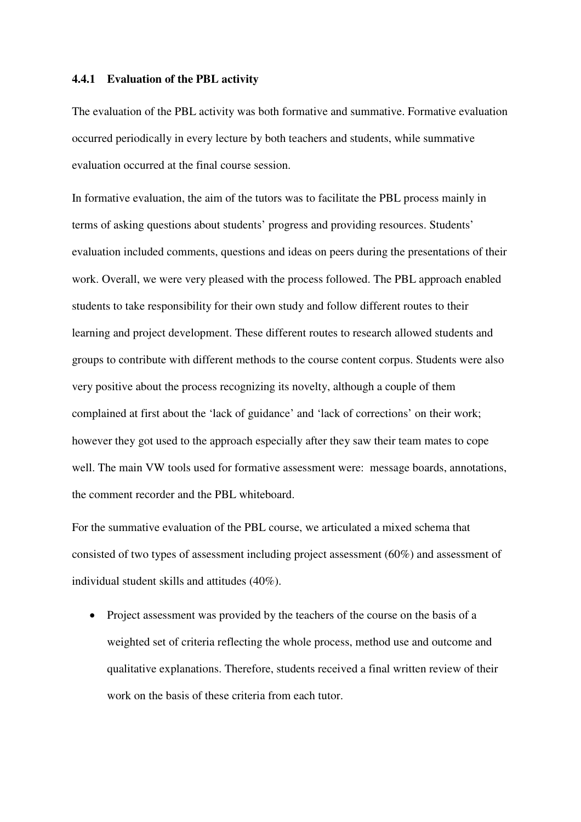#### **4.4.1 Evaluation of the PBL activity**

The evaluation of the PBL activity was both formative and summative. Formative evaluation occurred periodically in every lecture by both teachers and students, while summative evaluation occurred at the final course session.

In formative evaluation, the aim of the tutors was to facilitate the PBL process mainly in terms of asking questions about students' progress and providing resources. Students' evaluation included comments, questions and ideas on peers during the presentations of their work. Overall, we were very pleased with the process followed. The PBL approach enabled students to take responsibility for their own study and follow different routes to their learning and project development. These different routes to research allowed students and groups to contribute with different methods to the course content corpus. Students were also very positive about the process recognizing its novelty, although a couple of them complained at first about the 'lack of guidance' and 'lack of corrections' on their work; however they got used to the approach especially after they saw their team mates to cope well. The main VW tools used for formative assessment were: message boards, annotations, the comment recorder and the PBL whiteboard.

For the summative evaluation of the PBL course, we articulated a mixed schema that consisted of two types of assessment including project assessment (60%) and assessment of individual student skills and attitudes (40%).

• Project assessment was provided by the teachers of the course on the basis of a weighted set of criteria reflecting the whole process, method use and outcome and qualitative explanations. Therefore, students received a final written review of their work on the basis of these criteria from each tutor.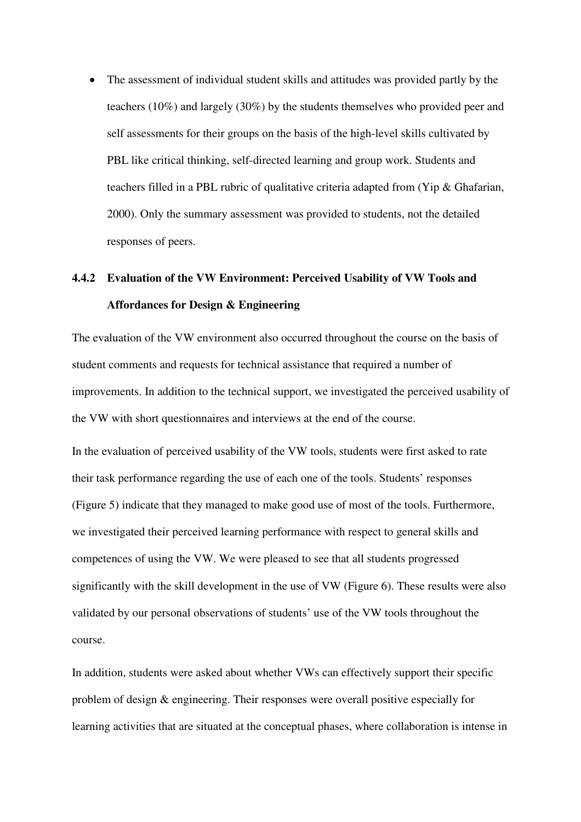• The assessment of individual student skills and attitudes was provided partly by the teachers (10%) and largely (30%) by the students themselves who provided peer and self assessments for their groups on the basis of the high-level skills cultivated by PBL like critical thinking, self-directed learning and group work. Students and teachers filled in a PBL rubric of qualitative criteria adapted from (Yip & Ghafarian, 2000). Only the summary assessment was provided to students, not the detailed responses of peers.

## **4.4.2 Evaluation of the VW Environment: Perceived Usability of VW Tools and Affordances for Design & Engineering**

The evaluation of the VW environment also occurred throughout the course on the basis of student comments and requests for technical assistance that required a number of improvements. In addition to the technical support, we investigated the perceived usability of the VW with short questionnaires and interviews at the end of the course.

In the evaluation of perceived usability of the VW tools, students were first asked to rate their task performance regarding the use of each one of the tools. Students' responses (Figure 5) indicate that they managed to make good use of most of the tools. Furthermore, we investigated their perceived learning performance with respect to general skills and competences of using the VW. We were pleased to see that all students progressed significantly with the skill development in the use of VW (Figure 6). These results were also validated by our personal observations of students' use of the VW tools throughout the course.

In addition, students were asked about whether VWs can effectively support their specific problem of design & engineering. Their responses were overall positive especially for learning activities that are situated at the conceptual phases, where collaboration is intense in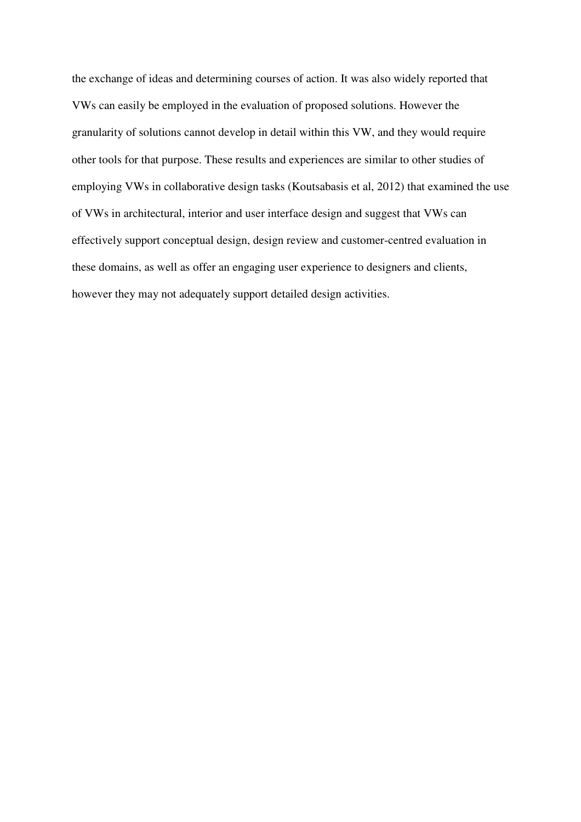the exchange of ideas and determining courses of action. It was also widely reported that VWs can easily be employed in the evaluation of proposed solutions. However the granularity of solutions cannot develop in detail within this VW, and they would require other tools for that purpose. These results and experiences are similar to other studies of employing VWs in collaborative design tasks (Koutsabasis et al, 2012) that examined the use of VWs in architectural, interior and user interface design and suggest that VWs can effectively support conceptual design, design review and customer-centred evaluation in these domains, as well as offer an engaging user experience to designers and clients, however they may not adequately support detailed design activities.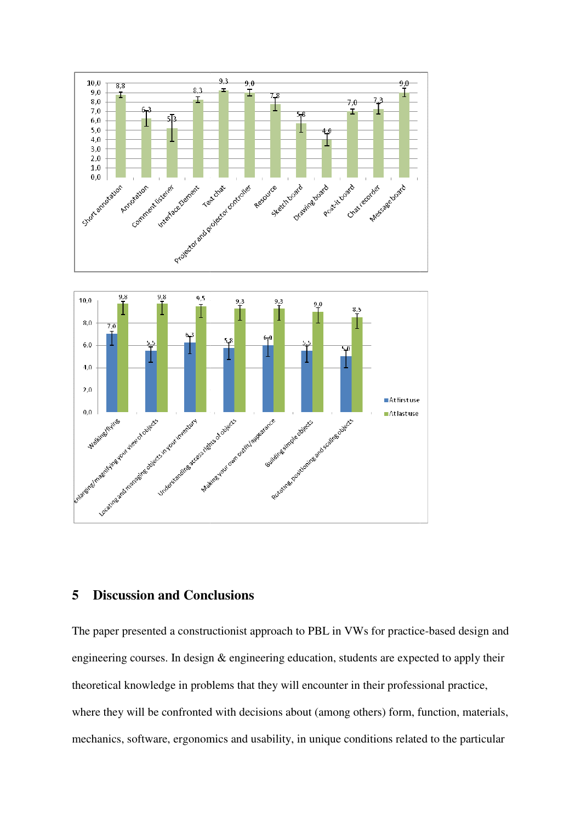

## **5 Discussion and Conclusions**

The paper presented a constructionist approach to PBL in VWs for practice-based design and engineering courses. In design & engineering education, students are expected to apply their theoretical knowledge in problems that they will encounter in their professional practice, where they will be confronted with decisions about (among others) form, function, materials, mechanics, software, ergonomics and usability, in unique conditions related to the particular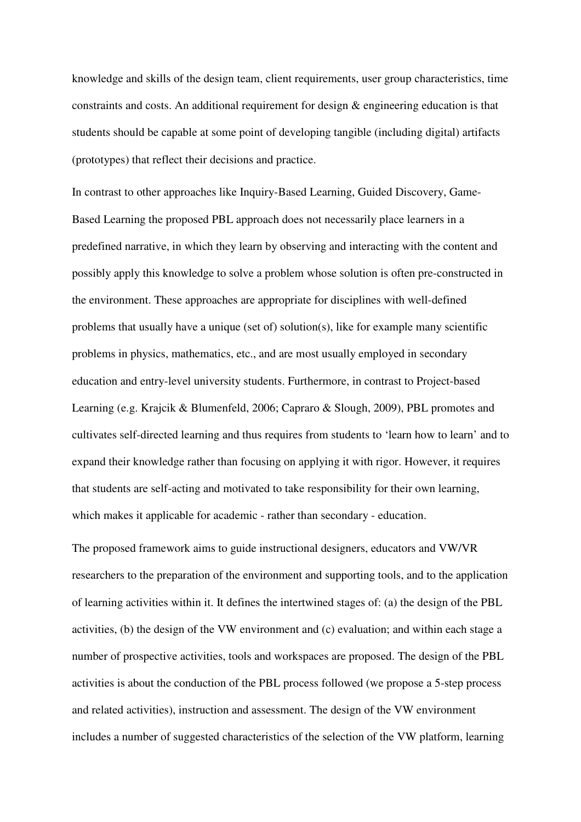knowledge and skills of the design team, client requirements, user group characteristics, time constraints and costs. An additional requirement for design & engineering education is that students should be capable at some point of developing tangible (including digital) artifacts (prototypes) that reflect their decisions and practice.

In contrast to other approaches like Inquiry-Based Learning, Guided Discovery, Game-Based Learning the proposed PBL approach does not necessarily place learners in a predefined narrative, in which they learn by observing and interacting with the content and possibly apply this knowledge to solve a problem whose solution is often pre-constructed in the environment. These approaches are appropriate for disciplines with well-defined problems that usually have a unique (set of) solution(s), like for example many scientific problems in physics, mathematics, etc., and are most usually employed in secondary education and entry-level university students. Furthermore, in contrast to Project-based Learning (e.g. Krajcik & Blumenfeld, 2006; Capraro & Slough, 2009), PBL promotes and cultivates self-directed learning and thus requires from students to 'learn how to learn' and to expand their knowledge rather than focusing on applying it with rigor. However, it requires that students are self-acting and motivated to take responsibility for their own learning, which makes it applicable for academic - rather than secondary - education.

The proposed framework aims to guide instructional designers, educators and VW/VR researchers to the preparation of the environment and supporting tools, and to the application of learning activities within it. It defines the intertwined stages of: (a) the design of the PBL activities, (b) the design of the VW environment and (c) evaluation; and within each stage a number of prospective activities, tools and workspaces are proposed. The design of the PBL activities is about the conduction of the PBL process followed (we propose a 5-step process and related activities), instruction and assessment. The design of the VW environment includes a number of suggested characteristics of the selection of the VW platform, learning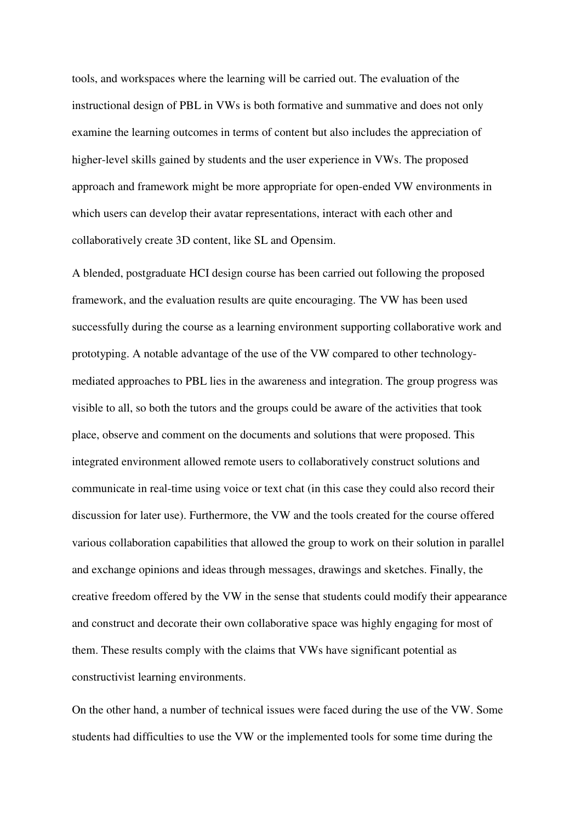tools, and workspaces where the learning will be carried out. The evaluation of the instructional design of PBL in VWs is both formative and summative and does not only examine the learning outcomes in terms of content but also includes the appreciation of higher-level skills gained by students and the user experience in VWs. The proposed approach and framework might be more appropriate for open-ended VW environments in which users can develop their avatar representations, interact with each other and collaboratively create 3D content, like SL and Opensim.

A blended, postgraduate HCI design course has been carried out following the proposed framework, and the evaluation results are quite encouraging. The VW has been used successfully during the course as a learning environment supporting collaborative work and prototyping. A notable advantage of the use of the VW compared to other technologymediated approaches to PBL lies in the awareness and integration. The group progress was visible to all, so both the tutors and the groups could be aware of the activities that took place, observe and comment on the documents and solutions that were proposed. This integrated environment allowed remote users to collaboratively construct solutions and communicate in real-time using voice or text chat (in this case they could also record their discussion for later use). Furthermore, the VW and the tools created for the course offered various collaboration capabilities that allowed the group to work on their solution in parallel and exchange opinions and ideas through messages, drawings and sketches. Finally, the creative freedom offered by the VW in the sense that students could modify their appearance and construct and decorate their own collaborative space was highly engaging for most of them. These results comply with the claims that VWs have significant potential as constructivist learning environments.

On the other hand, a number of technical issues were faced during the use of the VW. Some students had difficulties to use the VW or the implemented tools for some time during the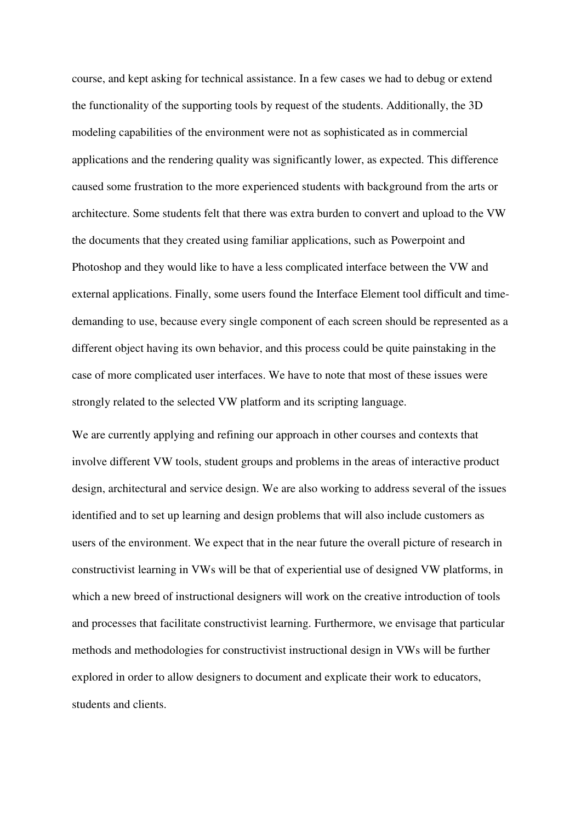course, and kept asking for technical assistance. In a few cases we had to debug or extend the functionality of the supporting tools by request of the students. Additionally, the 3D modeling capabilities of the environment were not as sophisticated as in commercial applications and the rendering quality was significantly lower, as expected. This difference caused some frustration to the more experienced students with background from the arts or architecture. Some students felt that there was extra burden to convert and upload to the VW the documents that they created using familiar applications, such as Powerpoint and Photoshop and they would like to have a less complicated interface between the VW and external applications. Finally, some users found the Interface Element tool difficult and timedemanding to use, because every single component of each screen should be represented as a different object having its own behavior, and this process could be quite painstaking in the case of more complicated user interfaces. We have to note that most of these issues were strongly related to the selected VW platform and its scripting language.

We are currently applying and refining our approach in other courses and contexts that involve different VW tools, student groups and problems in the areas of interactive product design, architectural and service design. We are also working to address several of the issues identified and to set up learning and design problems that will also include customers as users of the environment. We expect that in the near future the overall picture of research in constructivist learning in VWs will be that of experiential use of designed VW platforms, in which a new breed of instructional designers will work on the creative introduction of tools and processes that facilitate constructivist learning. Furthermore, we envisage that particular methods and methodologies for constructivist instructional design in VWs will be further explored in order to allow designers to document and explicate their work to educators, students and clients.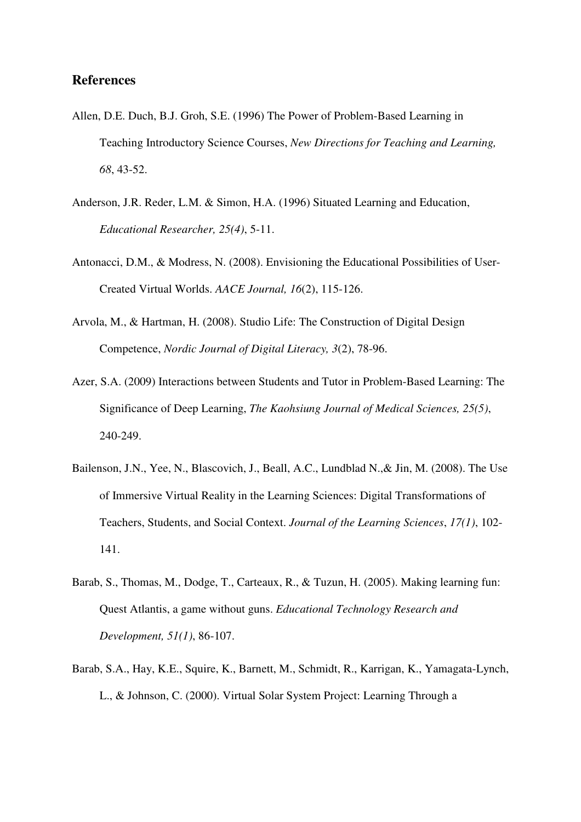## **References**

- Allen, D.E. Duch, B.J. Groh, S.E. (1996) The Power of Problem-Based Learning in Teaching Introductory Science Courses, *New Directions for Teaching and Learning, 68*, 43-52.
- Anderson, J.R. Reder, L.M. & Simon, H.A. (1996) Situated Learning and Education, *Educational Researcher, 25(4)*, 5-11.
- Antonacci, D.M., & Modress, N. (2008). Envisioning the Educational Possibilities of User-Created Virtual Worlds. *AACE Journal, 16*(2), 115-126.
- Arvola, M., & Hartman, H. (2008). Studio Life: The Construction of Digital Design Competence, *Nordic Journal of Digital Literacy, 3*(2), 78-96.
- Azer, S.A. (2009) Interactions between Students and Tutor in Problem-Based Learning: The Significance of Deep Learning, *The Kaohsiung Journal of Medical Sciences, 25(5)*, 240-249.
- Bailenson, J.N., Yee, N., Blascovich, J., Beall, A.C., Lundblad N.,& Jin, M. (2008). The Use of Immersive Virtual Reality in the Learning Sciences: Digital Transformations of Teachers, Students, and Social Context. *Journal of the Learning Sciences*, *17(1)*, 102- 141.
- Barab, S., Thomas, M., Dodge, T., Carteaux, R., & Tuzun, H. (2005). Making learning fun: Quest Atlantis, a game without guns. *Educational Technology Research and Development, 51(1)*, 86-107.
- Barab, S.A., Hay, K.E., Squire, K., Barnett, M., Schmidt, R., Karrigan, K., Yamagata-Lynch, L., & Johnson, C. (2000). Virtual Solar System Project: Learning Through a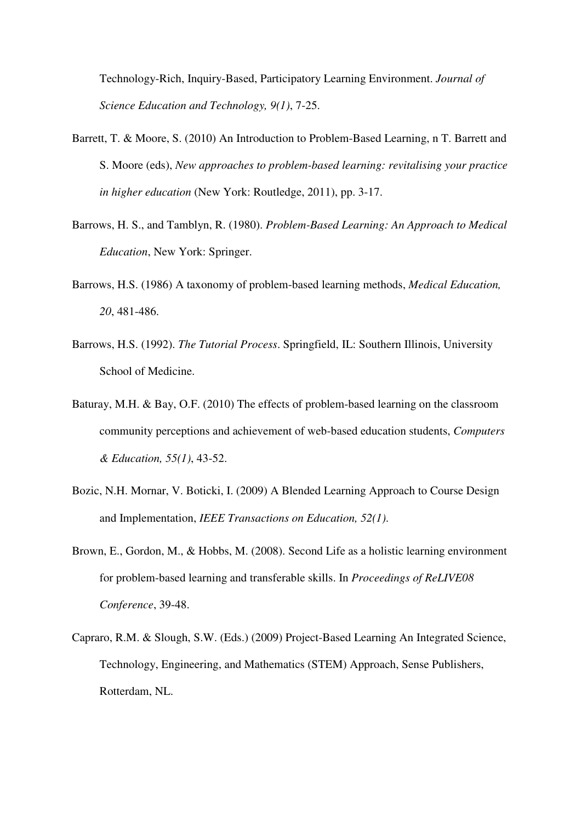Technology-Rich, Inquiry-Based, Participatory Learning Environment. *Journal of Science Education and Technology, 9(1)*, 7-25.

- Barrett, T. & Moore, S. (2010) An Introduction to Problem-Based Learning, n T. Barrett and S. Moore (eds), *New approaches to problem-based learning: revitalising your practice in higher education* (New York: Routledge, 2011), pp. 3-17.
- Barrows, H. S., and Tamblyn, R. (1980). *Problem-Based Learning: An Approach to Medical Education*, New York: Springer.
- Barrows, H.S. (1986) A taxonomy of problem-based learning methods, *Medical Education, 20*, 481-486.
- Barrows, H.S. (1992). *The Tutorial Process*. Springfield, IL: Southern Illinois, University School of Medicine.
- Baturay, M.H. & Bay, O.F. (2010) The effects of problem-based learning on the classroom community perceptions and achievement of web-based education students, *Computers & Education, 55(1)*, 43-52.
- Bozic, N.H. Mornar, V. Boticki, I. (2009) A Blended Learning Approach to Course Design and Implementation, *IEEE Transactions on Education, 52(1)*.
- Brown, E., Gordon, M., & Hobbs, M. (2008). Second Life as a holistic learning environment for problem-based learning and transferable skills. In *Proceedings of ReLIVE08 Conference*, 39-48.
- Capraro, R.M. & Slough, S.W. (Eds.) (2009) Project-Based Learning An Integrated Science, Technology, Engineering, and Mathematics (STEM) Approach, Sense Publishers, Rotterdam, NL.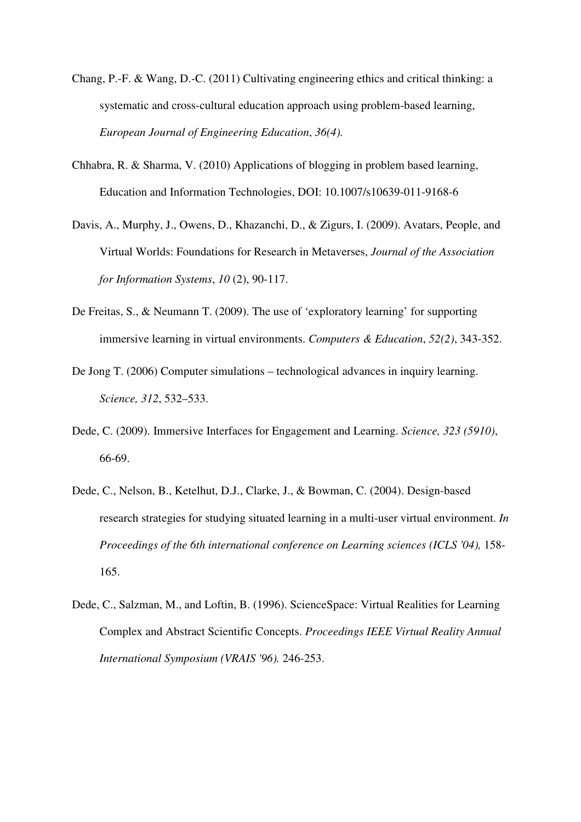- Chang, P.-F. & Wang, D.-C. (2011) Cultivating engineering ethics and critical thinking: a systematic and cross-cultural education approach using problem-based learning, *European Journal of Engineering Education*, *36(4).*
- Chhabra, R. & Sharma, V. (2010) Applications of blogging in problem based learning, Education and Information Technologies, DOI: 10.1007/s10639-011-9168-6
- Davis, A., Murphy, J., Owens, D., Khazanchi, D., & Zigurs, I. (2009). Avatars, People, and Virtual Worlds: Foundations for Research in Metaverses, *Journal of the Association for Information Systems*, *10* (2), 90-117.
- De Freitas, S., & Neumann T. (2009). The use of 'exploratory learning' for supporting immersive learning in virtual environments. *Computers & Education*, *52(2)*, 343-352.
- De Jong T. (2006) Computer simulations technological advances in inquiry learning. *Science, 312*, 532–533.
- Dede, C. (2009). Immersive Interfaces for Engagement and Learning. *Science, 323 (5910)*, 66-69.
- Dede, C., Nelson, B., Ketelhut, D.J., Clarke, J., & Bowman, C. (2004). Design-based research strategies for studying situated learning in a multi-user virtual environment. *In Proceedings of the 6th international conference on Learning sciences (ICLS '04),* 158- 165.
- Dede, C., Salzman, M., and Loftin, B. (1996). ScienceSpace: Virtual Realities for Learning Complex and Abstract Scientific Concepts. *Proceedings IEEE Virtual Reality Annual International Symposium (VRAIS '96).* 246-253.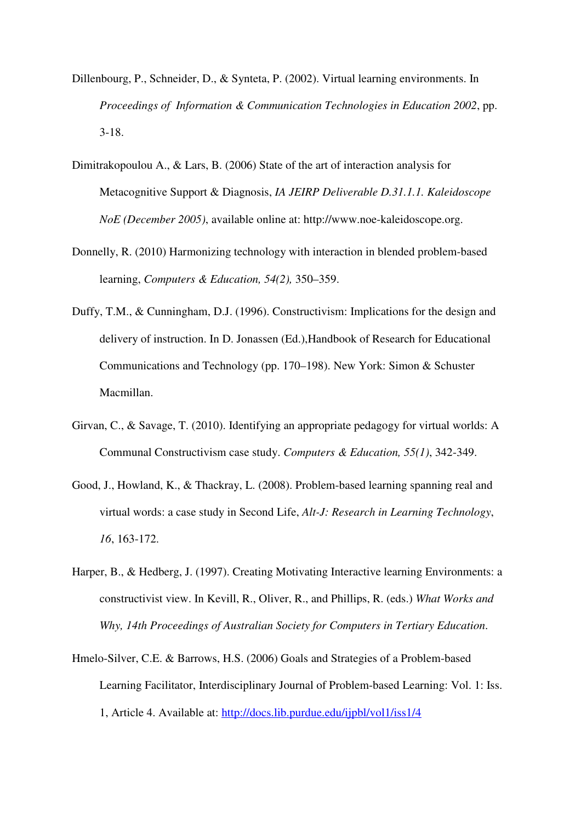- Dillenbourg, P., Schneider, D., & Synteta, P. (2002). Virtual learning environments. In *Proceedings of Information & Communication Technologies in Education 2002*, pp. 3-18.
- Dimitrakopoulou A., & Lars, B. (2006) State of the art of interaction analysis for Metacognitive Support & Diagnosis, *IA JEIRP Deliverable D.31.1.1. Kaleidoscope NoE (December 2005)*, available online at: http://www.noe-kaleidoscope.org.
- Donnelly, R. (2010) Harmonizing technology with interaction in blended problem-based learning, *Computers & Education, 54(2),* 350–359.
- Duffy, T.M., & Cunningham, D.J. (1996). Constructivism: Implications for the design and delivery of instruction. In D. Jonassen (Ed.),Handbook of Research for Educational Communications and Technology (pp. 170–198). New York: Simon & Schuster Macmillan.
- Girvan, C., & Savage, T. (2010). Identifying an appropriate pedagogy for virtual worlds: A Communal Constructivism case study. *Computers & Education, 55(1)*, 342-349.
- Good, J., Howland, K., & Thackray, L. (2008). Problem-based learning spanning real and virtual words: a case study in Second Life, *Alt-J: Research in Learning Technology*, *16*, 163-172.
- Harper, B., & Hedberg, J. (1997). Creating Motivating Interactive learning Environments: a constructivist view. In Kevill, R., Oliver, R., and Phillips, R. (eds.) *What Works and Why, 14th Proceedings of Australian Society for Computers in Tertiary Education*.
- Hmelo-Silver, C.E. & Barrows, H.S. (2006) Goals and Strategies of a Problem-based Learning Facilitator, Interdisciplinary Journal of Problem-based Learning: Vol. 1: Iss. 1, Article 4. Available at: http://docs.lib.purdue.edu/ijpbl/vol1/iss1/4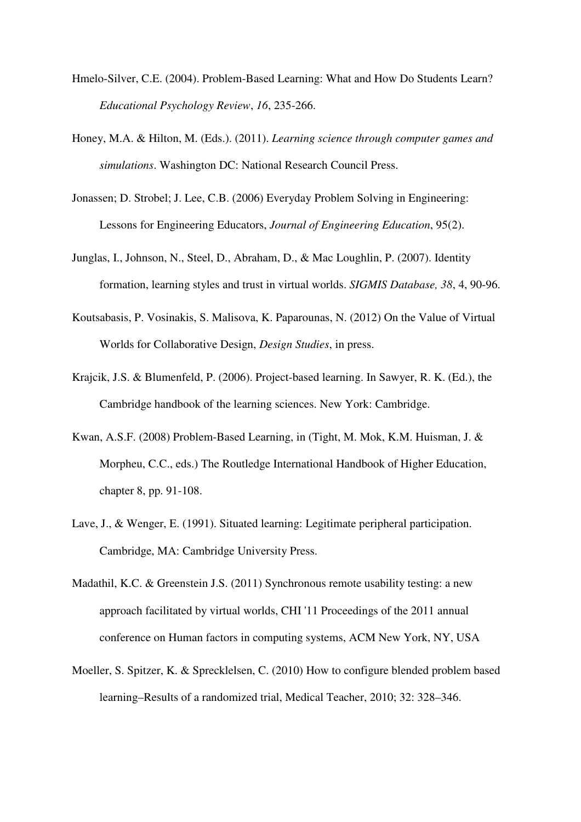- Hmelo-Silver, C.E. (2004). Problem-Based Learning: What and How Do Students Learn? *Educational Psychology Review*, *16*, 235-266.
- Honey, M.A. & Hilton, M. (Eds.). (2011). *Learning science through computer games and simulations*. Washington DC: National Research Council Press.
- Jonassen; D. Strobel; J. Lee, C.B. (2006) Everyday Problem Solving in Engineering: Lessons for Engineering Educators, *Journal of Engineering Education*, 95(2).
- Junglas, I., Johnson, N., Steel, D., Abraham, D., & Mac Loughlin, P. (2007). Identity formation, learning styles and trust in virtual worlds. *SIGMIS Database, 38*, 4, 90-96.
- Koutsabasis, P. Vosinakis, S. Malisova, K. Paparounas, N. (2012) On the Value of Virtual Worlds for Collaborative Design, *Design Studies*, in press.
- Krajcik, J.S. & Blumenfeld, P. (2006). Project-based learning. In Sawyer, R. K. (Ed.), the Cambridge handbook of the learning sciences. New York: Cambridge.
- Kwan, A.S.F. (2008) Problem-Based Learning, in (Tight, M. Mok, K.M. Huisman, J. & Morpheu, C.C., eds.) The Routledge International Handbook of Higher Education, chapter 8, pp. 91-108.
- Lave, J., & Wenger, E. (1991). Situated learning: Legitimate peripheral participation. Cambridge, MA: Cambridge University Press.
- Madathil, K.C. & Greenstein J.S. (2011) Synchronous remote usability testing: a new approach facilitated by virtual worlds, CHI '11 Proceedings of the 2011 annual conference on Human factors in computing systems, ACM New York, NY, USA
- Moeller, S. Spitzer, K. & Sprecklelsen, C. (2010) How to configure blended problem based learning–Results of a randomized trial, Medical Teacher, 2010; 32: 328–346.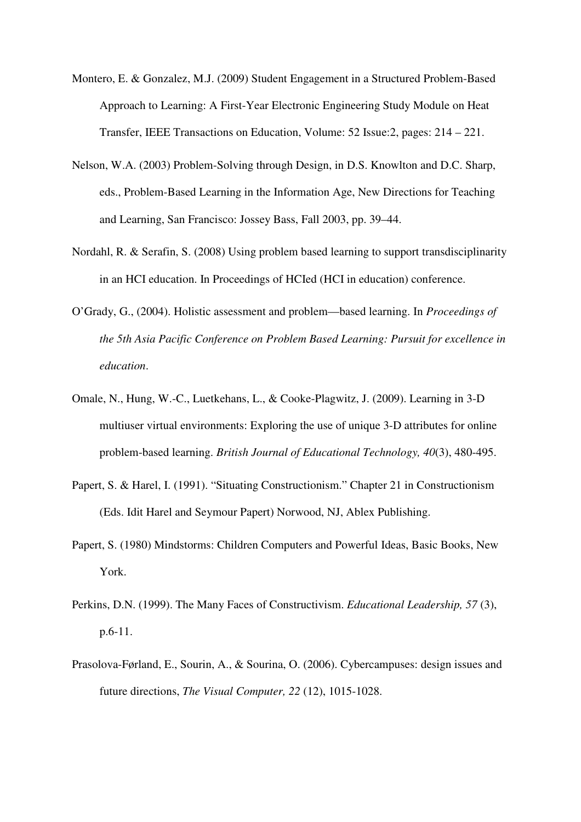- Montero, E. & Gonzalez, M.J. (2009) Student Engagement in a Structured Problem-Based Approach to Learning: A First-Year Electronic Engineering Study Module on Heat Transfer, IEEE Transactions on Education, Volume: 52 Issue:2, pages: 214 – 221.
- Nelson, W.A. (2003) Problem-Solving through Design, in D.S. Knowlton and D.C. Sharp, eds., Problem-Based Learning in the Information Age, New Directions for Teaching and Learning, San Francisco: Jossey Bass, Fall 2003, pp. 39–44.
- Nordahl, R. & Serafin, S. (2008) Using problem based learning to support transdisciplinarity in an HCI education. In Proceedings of HCIed (HCI in education) conference.
- O'Grady, G., (2004). Holistic assessment and problem—based learning. In *Proceedings of the 5th Asia Pacific Conference on Problem Based Learning: Pursuit for excellence in education*.
- Omale, N., Hung, W.-C., Luetkehans, L., & Cooke-Plagwitz, J. (2009). Learning in 3-D multiuser virtual environments: Exploring the use of unique 3-D attributes for online problem-based learning. *British Journal of Educational Technology, 40*(3), 480-495.
- Papert, S. & Harel, I. (1991). "Situating Constructionism." Chapter 21 in Constructionism (Eds. Idit Harel and Seymour Papert) Norwood, NJ, Ablex Publishing.
- Papert, S. (1980) Mindstorms: Children Computers and Powerful Ideas, Basic Books, New York.
- Perkins, D.N. (1999). The Many Faces of Constructivism. *Educational Leadership, 57* (3), p.6-11.
- Prasolova-Førland, E., Sourin, A., & Sourina, O. (2006). Cybercampuses: design issues and future directions, *The Visual Computer, 22* (12), 1015-1028.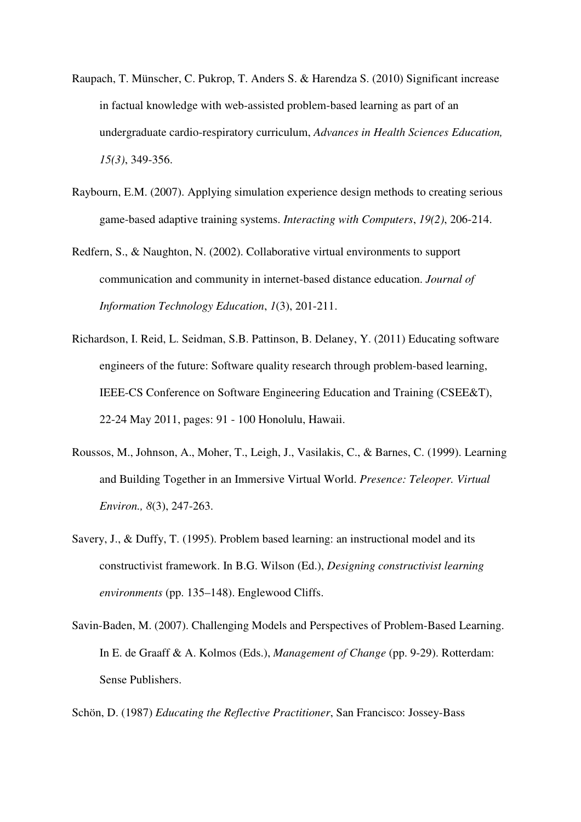- Raupach, T. Münscher, C. Pukrop, T. Anders S. & Harendza S. (2010) Significant increase in factual knowledge with web-assisted problem-based learning as part of an undergraduate cardio-respiratory curriculum, *Advances in Health Sciences Education, 15(3)*, 349-356.
- Raybourn, E.M. (2007). Applying simulation experience design methods to creating serious game-based adaptive training systems. *Interacting with Computers*, *19(2)*, 206-214.
- Redfern, S., & Naughton, N. (2002). Collaborative virtual environments to support communication and community in internet-based distance education. *Journal of Information Technology Education*, *1*(3), 201-211.
- Richardson, I. Reid, L. Seidman, S.B. Pattinson, B. Delaney, Y. (2011) Educating software engineers of the future: Software quality research through problem-based learning, IEEE-CS Conference on Software Engineering Education and Training (CSEE&T), 22-24 May 2011, pages: 91 - 100 Honolulu, Hawaii.
- Roussos, M., Johnson, A., Moher, T., Leigh, J., Vasilakis, C., & Barnes, C. (1999). Learning and Building Together in an Immersive Virtual World. *Presence: Teleoper. Virtual Environ., 8*(3), 247-263.
- Savery, J., & Duffy, T. (1995). Problem based learning: an instructional model and its constructivist framework. In B.G. Wilson (Ed.), *Designing constructivist learning environments* (pp. 135–148). Englewood Cliffs.
- Savin-Baden, M. (2007). Challenging Models and Perspectives of Problem-Based Learning. In E. de Graaff & A. Kolmos (Eds.), *Management of Change* (pp. 9-29). Rotterdam: Sense Publishers.

Schön, D. (1987) *Educating the Reflective Practitioner*, San Francisco: Jossey-Bass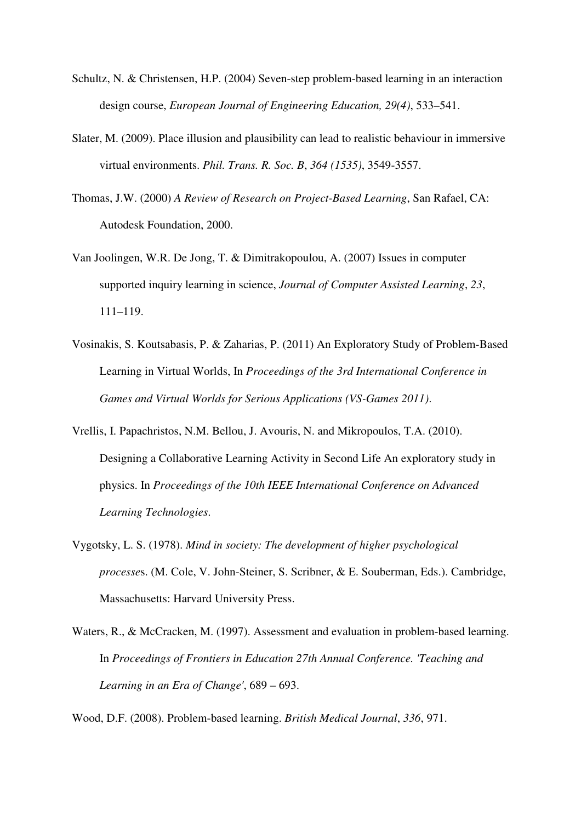- Schultz, N. & Christensen, H.P. (2004) Seven-step problem-based learning in an interaction design course, *European Journal of Engineering Education, 29(4)*, 533–541.
- Slater, M. (2009). Place illusion and plausibility can lead to realistic behaviour in immersive virtual environments. *Phil. Trans. R. Soc. B*, *364 (1535)*, 3549-3557.
- Thomas, J.W. (2000) *A Review of Research on Project-Based Learning*, San Rafael, CA: Autodesk Foundation, 2000.
- Van Joolingen, W.R. De Jong, T. & Dimitrakopoulou, A. (2007) Issues in computer supported inquiry learning in science, *Journal of Computer Assisted Learning*, *23*, 111–119.
- Vosinakis, S. Koutsabasis, P. & Zaharias, P. (2011) An Exploratory Study of Problem-Based Learning in Virtual Worlds, In *Proceedings of the 3rd International Conference in Games and Virtual Worlds for Serious Applications (VS-Games 2011)*.
- Vrellis, I. Papachristos, N.M. Bellou, J. Avouris, N. and Mikropoulos, T.A. (2010). Designing a Collaborative Learning Activity in Second Life An exploratory study in physics. In *Proceedings of the 10th IEEE International Conference on Advanced Learning Technologies*.
- Vygotsky, L. S. (1978). *Mind in society: The development of higher psychological processe*s. (M. Cole, V. John-Steiner, S. Scribner, & E. Souberman, Eds.). Cambridge, Massachusetts: Harvard University Press.
- Waters, R., & McCracken, M. (1997). Assessment and evaluation in problem-based learning. In *Proceedings of Frontiers in Education 27th Annual Conference. 'Teaching and Learning in an Era of Change'*, 689 – 693.

Wood, D.F. (2008). Problem-based learning. *British Medical Journal*, *336*, 971.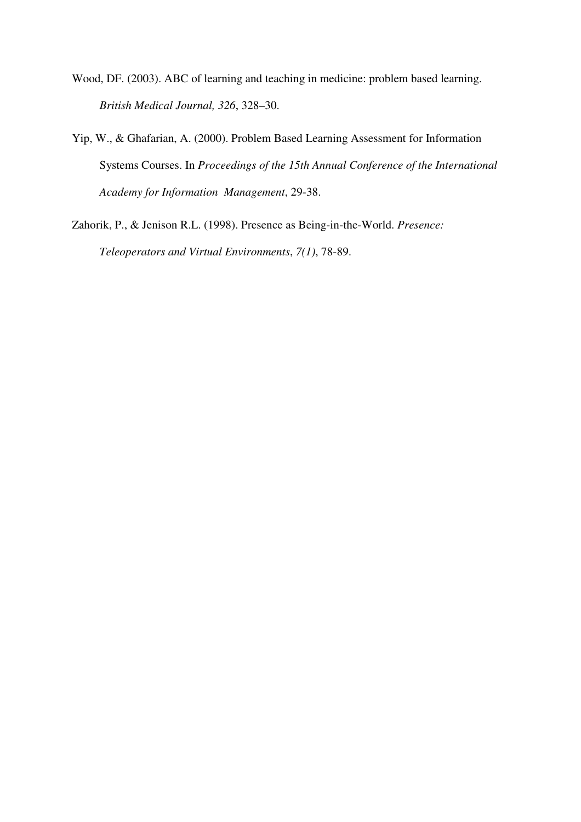- Wood, DF. (2003). ABC of learning and teaching in medicine: problem based learning. *British Medical Journal, 326*, 328–30.
- Yip, W., & Ghafarian, A. (2000). Problem Based Learning Assessment for Information Systems Courses. In *Proceedings of the 15th Annual Conference of the International Academy for Information Management*, 29-38.
- Zahorik, P., & Jenison R.L. (1998). Presence as Being-in-the-World. *Presence: Teleoperators and Virtual Environments*, *7(1)*, 78-89.